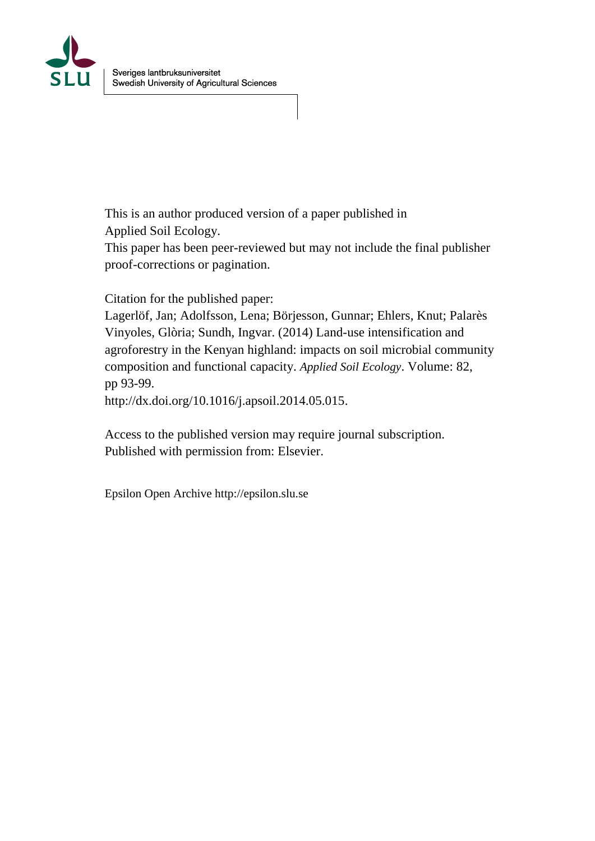

This is an author produced version of a paper published in Applied Soil Ecology.

This paper has been peer-reviewed but may not include the final publisher proof-corrections or pagination.

Citation for the published paper:

Lagerlöf, Jan; Adolfsson, Lena; Börjesson, Gunnar; Ehlers, Knut; Palarès Vinyoles, Glòria; Sundh, Ingvar. (2014) Land-use intensification and agroforestry in the Kenyan highland: impacts on soil microbial community composition and functional capacity. *Applied Soil Ecology*. Volume: 82, pp 93-99.

http://dx.doi.org/10.1016/j.apsoil.2014.05.015.

Access to the published version may require journal subscription. Published with permission from: Elsevier.

Epsilon Open Archive http://epsilon.slu.se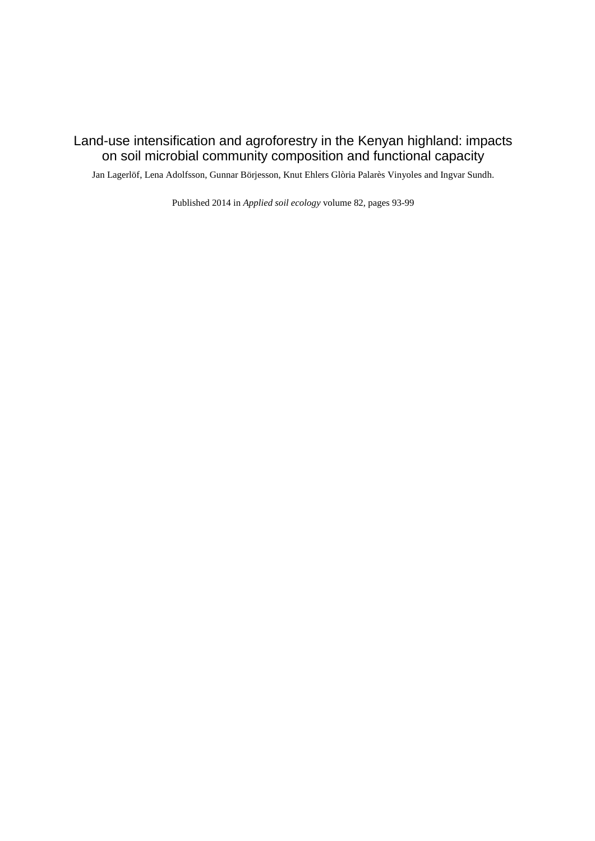### Land-use intensification and agroforestry in the Kenyan highland: impacts on soil microbial community composition and functional capacity

Jan Lagerlöf, Lena Adolfsson, Gunnar Börjesson, Knut Ehlers Glòria Palarès Vinyoles and Ingvar Sundh.

Published 2014 in *Applied soil ecology* volume 82, pages 93-99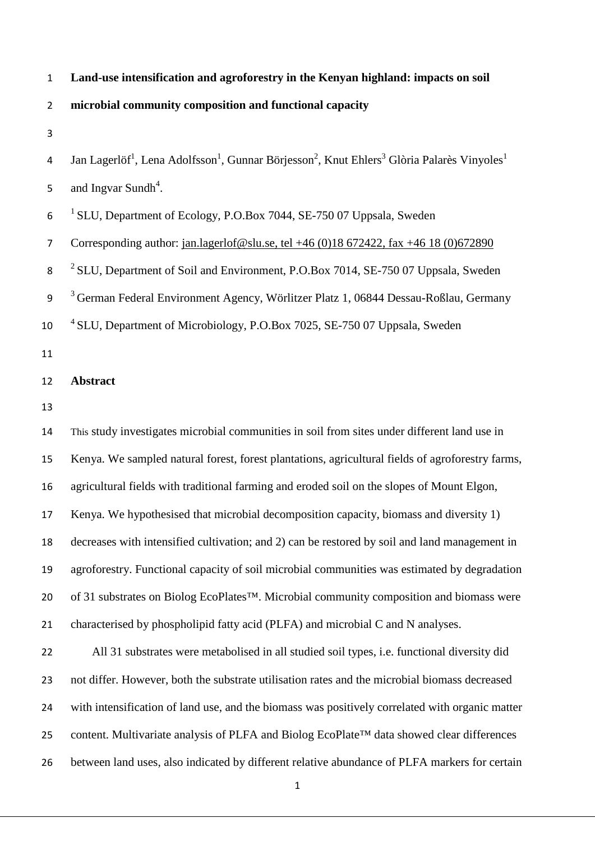| $\mathbf 1$      | Land-use intensification and agroforestry in the Kenyan highland: impacts on soil                                                                       |
|------------------|---------------------------------------------------------------------------------------------------------------------------------------------------------|
| $\overline{2}$   | microbial community composition and functional capacity                                                                                                 |
| 3                |                                                                                                                                                         |
| 4                | Jan Lagerlöf <sup>1</sup> , Lena Adolfsson <sup>1</sup> , Gunnar Börjesson <sup>2</sup> , Knut Ehlers <sup>3</sup> Glòria Palarès Vinyoles <sup>1</sup> |
| 5                | and Ingvar Sundh <sup>4</sup> .                                                                                                                         |
| 6                | <sup>1</sup> SLU, Department of Ecology, P.O.Box 7044, SE-750 07 Uppsala, Sweden                                                                        |
| $\overline{7}$   | Corresponding author: jan.lagerlof@slu.se, tel +46 (0)18 672422, fax +46 18 (0)672890                                                                   |
| 8                | $2$ SLU, Department of Soil and Environment, P.O.Box 7014, SE-750 07 Uppsala, Sweden                                                                    |
| $\boldsymbol{9}$ | <sup>3</sup> German Federal Environment Agency, Wörlitzer Platz 1, 06844 Dessau-Roßlau, Germany                                                         |
| 10               | <sup>4</sup> SLU, Department of Microbiology, P.O.Box 7025, SE-750 07 Uppsala, Sweden                                                                   |
| 11               |                                                                                                                                                         |
| 12               | <b>Abstract</b>                                                                                                                                         |
| 13               |                                                                                                                                                         |
| 14               | This study investigates microbial communities in soil from sites under different land use in                                                            |
| 15               | Kenya. We sampled natural forest, forest plantations, agricultural fields of agroforestry farms,                                                        |
| 16               | agricultural fields with traditional farming and eroded soil on the slopes of Mount Elgon,                                                              |
| 17               | Kenya. We hypothesised that microbial decomposition capacity, biomass and diversity 1)                                                                  |
| 18               | decreases with intensified cultivation; and 2) can be restored by soil and land management in                                                           |
| 19               | agroforestry. Functional capacity of soil microbial communities was estimated by degradation                                                            |
| 20               | of 31 substrates on Biolog EcoPlates <sup>TM</sup> . Microbial community composition and biomass were                                                   |
| 21               | characterised by phospholipid fatty acid (PLFA) and microbial C and N analyses.                                                                         |
| 22               | All 31 substrates were metabolised in all studied soil types, i.e. functional diversity did                                                             |
| 23               | not differ. However, both the substrate utilisation rates and the microbial biomass decreased                                                           |
| 24               | with intensification of land use, and the biomass was positively correlated with organic matter                                                         |
| 25               | content. Multivariate analysis of PLFA and Biolog EcoPlate™ data showed clear differences                                                               |
| 26               | between land uses, also indicated by different relative abundance of PLFA markers for certain                                                           |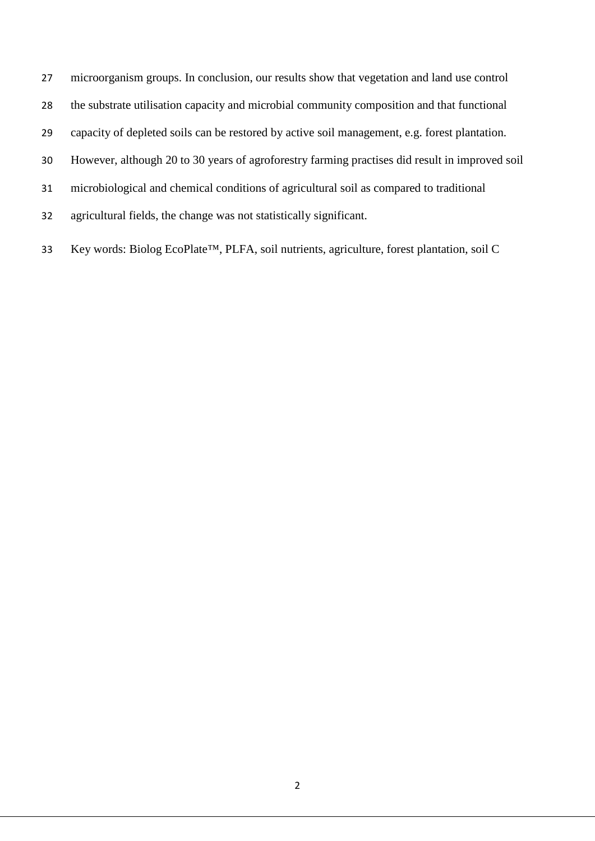microorganism groups. In conclusion, our results show that vegetation and land use control

- the substrate utilisation capacity and microbial community composition and that functional
- capacity of depleted soils can be restored by active soil management, e.g. forest plantation.
- However, although 20 to 30 years of agroforestry farming practises did result in improved soil
- microbiological and chemical conditions of agricultural soil as compared to traditional
- agricultural fields, the change was not statistically significant.
- Key words: Biolog EcoPlate™, PLFA, soil nutrients, agriculture, forest plantation, soil C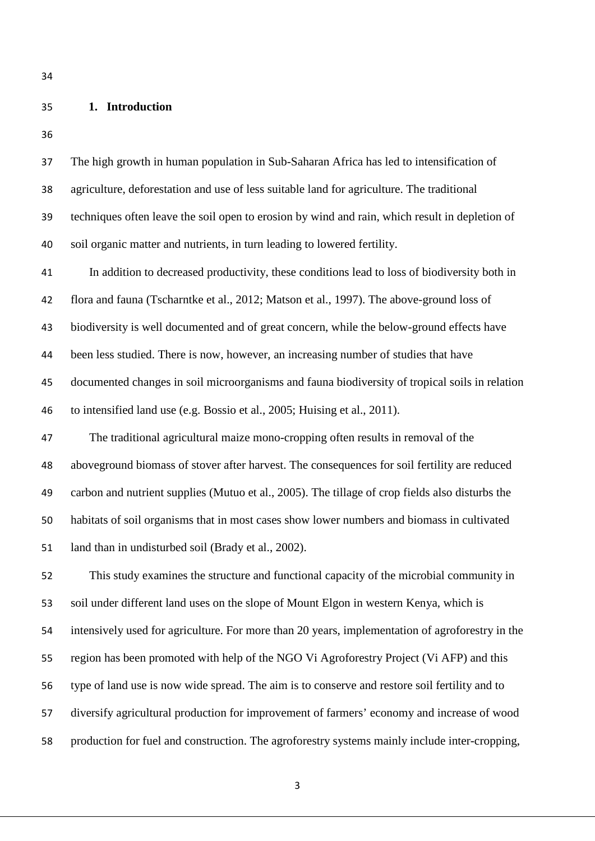## **1. Introduction**

| 37 | The high growth in human population in Sub-Saharan Africa has led to intensification of         |
|----|-------------------------------------------------------------------------------------------------|
| 38 | agriculture, deforestation and use of less suitable land for agriculture. The traditional       |
| 39 | techniques often leave the soil open to erosion by wind and rain, which result in depletion of  |
| 40 | soil organic matter and nutrients, in turn leading to lowered fertility.                        |
| 41 | In addition to decreased productivity, these conditions lead to loss of biodiversity both in    |
| 42 | flora and fauna (Tscharntke et al., 2012; Matson et al., 1997). The above-ground loss of        |
| 43 | biodiversity is well documented and of great concern, while the below-ground effects have       |
| 44 | been less studied. There is now, however, an increasing number of studies that have             |
| 45 | documented changes in soil microorganisms and fauna biodiversity of tropical soils in relation  |
| 46 | to intensified land use (e.g. Bossio et al., 2005; Huising et al., 2011).                       |
| 47 | The traditional agricultural maize mono-cropping often results in removal of the                |
| 48 | aboveground biomass of stover after harvest. The consequences for soil fertility are reduced    |
| 49 | carbon and nutrient supplies (Mutuo et al., 2005). The tillage of crop fields also disturbs the |
| 50 | habitats of soil organisms that in most cases show lower numbers and biomass in cultivated      |
| 51 | land than in undisturbed soil (Brady et al., 2002).                                             |
| 52 | This study examines the structure and functional capacity of the microbial community in         |
| 53 | soil under different land uses on the slope of Mount Elgon in western Kenya, which is           |
| 54 | intensively used for agriculture. For more than 20 years, implementation of agroforestry in the |
| 55 | region has been promoted with help of the NGO Vi Agroforestry Project (Vi AFP) and this         |
| 56 | type of land use is now wide spread. The aim is to conserve and restore soil fertility and to   |
| 57 | diversify agricultural production for improvement of farmers' economy and increase of wood      |
| 58 | production for fuel and construction. The agroforestry systems mainly include inter-cropping,   |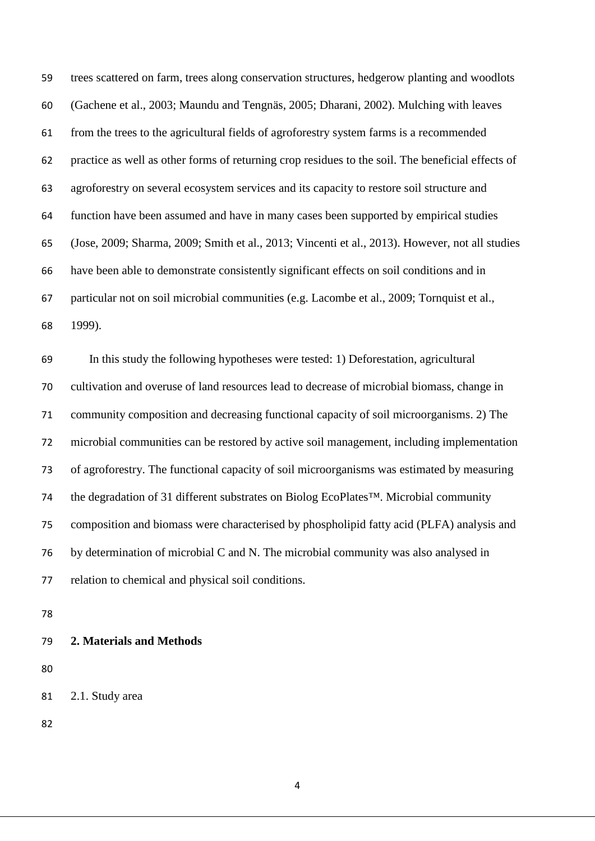trees scattered on farm, trees along conservation structures, hedgerow planting and woodlots (Gachene et al., 2003; Maundu and Tengnäs, 2005; Dharani, 2002). Mulching with leaves from the trees to the agricultural fields of agroforestry system farms is a recommended practice as well as other forms of returning crop residues to the soil. The beneficial effects of agroforestry on several ecosystem services and its capacity to restore soil structure and function have been assumed and have in many cases been supported by empirical studies (Jose, 2009; Sharma, 2009; Smith et al., 2013; Vincenti et al., 2013). However, not all studies have been able to demonstrate consistently significant effects on soil conditions and in particular not on soil microbial communities (e.g. Lacombe et al., 2009; Tornquist et al., 1999).

 In this study the following hypotheses were tested: 1) Deforestation, agricultural cultivation and overuse of land resources lead to decrease of microbial biomass, change in community composition and decreasing functional capacity of soil microorganisms. 2) The microbial communities can be restored by active soil management, including implementation of agroforestry. The functional capacity of soil microorganisms was estimated by measuring the degradation of 31 different substrates on Biolog EcoPlates™. Microbial community composition and biomass were characterised by phospholipid fatty acid (PLFA) analysis and by determination of microbial C and N. The microbial community was also analysed in relation to chemical and physical soil conditions.

#### **2. Materials and Methods**

2.1. Study area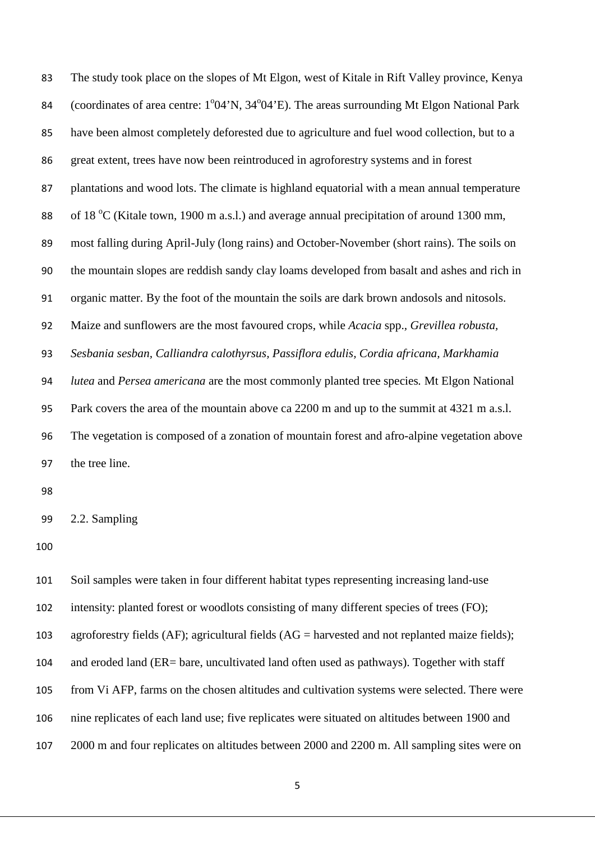The study took place on the slopes of Mt Elgon, west of Kitale in Rift Valley province, Kenya 84 (coordinates of area centre: 1°04'N, 34°04'E). The areas surrounding Mt Elgon National Park have been almost completely deforested due to agriculture and fuel wood collection, but to a great extent, trees have now been reintroduced in agroforestry systems and in forest plantations and wood lots. The climate is highland equatorial with a mean annual temperature 88 of 18  $\degree$ C (Kitale town, 1900 m a.s.l.) and average annual precipitation of around 1300 mm, most falling during April-July (long rains) and October-November (short rains). The soils on the mountain slopes are reddish sandy clay loams developed from basalt and ashes and rich in organic matter. By the foot of the mountain the soils are dark brown andosols and nitosols. Maize and sunflowers are the most favoured crops, while *Acacia* spp.*, Grevillea robusta, Sesbania sesban, Calliandra calothyrsus, Passiflora edulis, Cordia africana, Markhamia lutea* and *Persea americana* are the most commonly planted tree species*.* Mt Elgon National Park covers the area of the mountain above ca 2200 m and up to the summit at 4321 m a.s.l. The vegetation is composed of a zonation of mountain forest and afro-alpine vegetation above the tree line.

2.2. Sampling

 Soil samples were taken in four different habitat types representing increasing land-use intensity: planted forest or woodlots consisting of many different species of trees (FO); agroforestry fields (AF); agricultural fields (AG = harvested and not replanted maize fields); and eroded land (ER= bare, uncultivated land often used as pathways). Together with staff from Vi AFP, farms on the chosen altitudes and cultivation systems were selected. There were nine replicates of each land use; five replicates were situated on altitudes between 1900 and 2000 m and four replicates on altitudes between 2000 and 2200 m. All sampling sites were on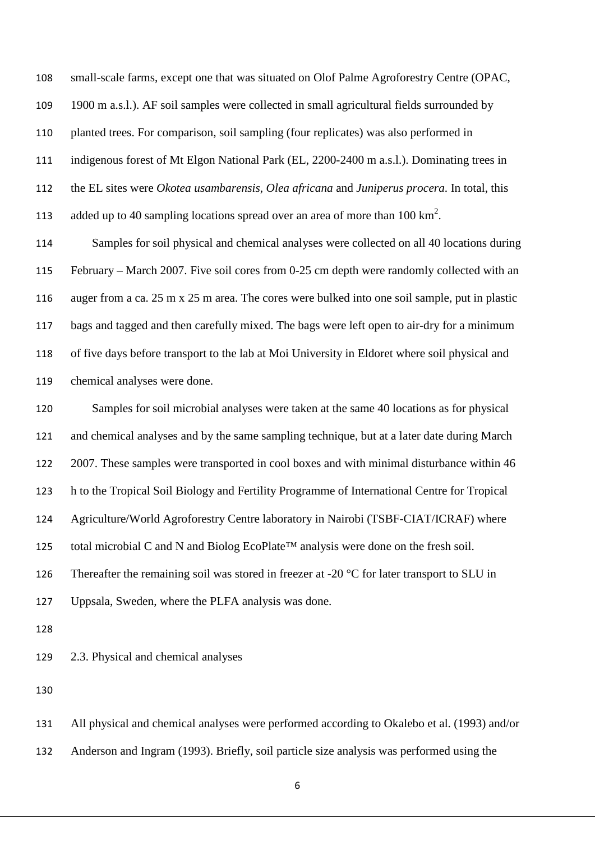small-scale farms, except one that was situated on Olof Palme Agroforestry Centre (OPAC,

1900 m a.s.l.). AF soil samples were collected in small agricultural fields surrounded by

planted trees. For comparison, soil sampling (four replicates) was also performed in

indigenous forest of Mt Elgon National Park (EL, 2200-2400 m a.s.l.). Dominating trees in

the EL sites were *Okotea usambarensis*, *Olea africana* and *Juniperus procera*. In total, this

113 added up to 40 sampling locations spread over an area of more than  $100 \text{ km}^2$ .

 Samples for soil physical and chemical analyses were collected on all 40 locations during February – March 2007. Five soil cores from 0-25 cm depth were randomly collected with an auger from a ca. 25 m x 25 m area. The cores were bulked into one soil sample, put in plastic bags and tagged and then carefully mixed. The bags were left open to air-dry for a minimum of five days before transport to the lab at Moi University in Eldoret where soil physical and chemical analyses were done.

 Samples for soil microbial analyses were taken at the same 40 locations as for physical and chemical analyses and by the same sampling technique, but at a later date during March 2007. These samples were transported in cool boxes and with minimal disturbance within 46 h to the Tropical Soil Biology and Fertility Programme of International Centre for Tropical Agriculture/World Agroforestry Centre laboratory in Nairobi (TSBF-CIAT/ICRAF) where 125 total microbial C and N and Biolog EcoPlate<sup>™</sup> analysis were done on the fresh soil. 126 Thereafter the remaining soil was stored in freezer at -20  $\degree$ C for later transport to SLU in Uppsala, Sweden, where the PLFA analysis was done.

2.3. Physical and chemical analyses

 All physical and chemical analyses were performed according to Okalebo et al. (1993) and/or Anderson and Ingram (1993). Briefly, soil particle size analysis was performed using the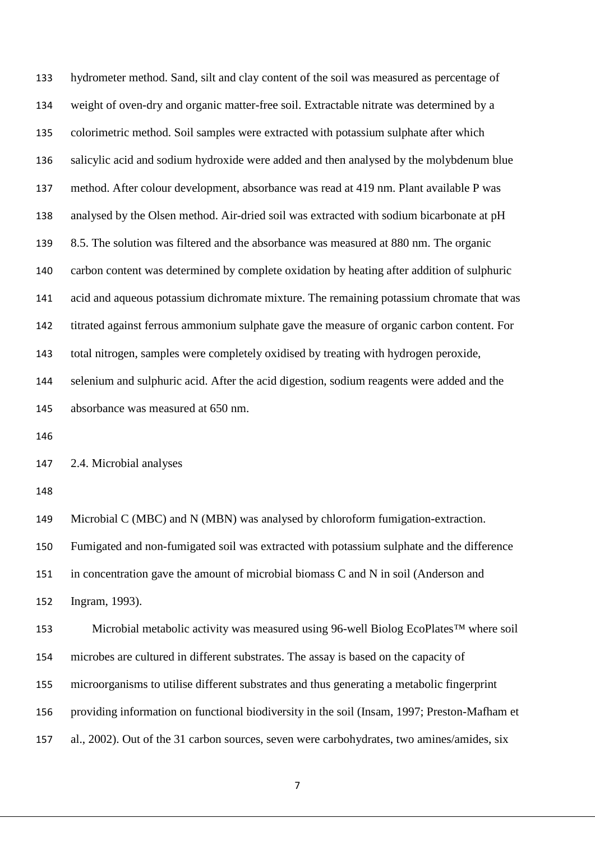hydrometer method. Sand, silt and clay content of the soil was measured as percentage of weight of oven-dry and organic matter-free soil. Extractable nitrate was determined by a colorimetric method. Soil samples were extracted with potassium sulphate after which salicylic acid and sodium hydroxide were added and then analysed by the molybdenum blue method. After colour development, absorbance was read at 419 nm. Plant available P was analysed by the Olsen method. Air-dried soil was extracted with sodium bicarbonate at pH 8.5. The solution was filtered and the absorbance was measured at 880 nm. The organic carbon content was determined by complete oxidation by heating after addition of sulphuric acid and aqueous potassium dichromate mixture. The remaining potassium chromate that was titrated against ferrous ammonium sulphate gave the measure of organic carbon content. For total nitrogen, samples were completely oxidised by treating with hydrogen peroxide, selenium and sulphuric acid. After the acid digestion, sodium reagents were added and the absorbance was measured at 650 nm.

2.4. Microbial analyses

 Microbial C (MBC) and N (MBN) was analysed by chloroform fumigation-extraction. Fumigated and non-fumigated soil was extracted with potassium sulphate and the difference

in concentration gave the amount of microbial biomass C and N in soil (Anderson and

Ingram, 1993).

 Microbial metabolic activity was measured using 96-well Biolog EcoPlates™ where soil microbes are cultured in different substrates. The assay is based on the capacity of microorganisms to utilise different substrates and thus generating a metabolic fingerprint providing information on functional biodiversity in the soil (Insam, 1997; Preston-Mafham et al., 2002). Out of the 31 carbon sources, seven were carbohydrates, two amines/amides, six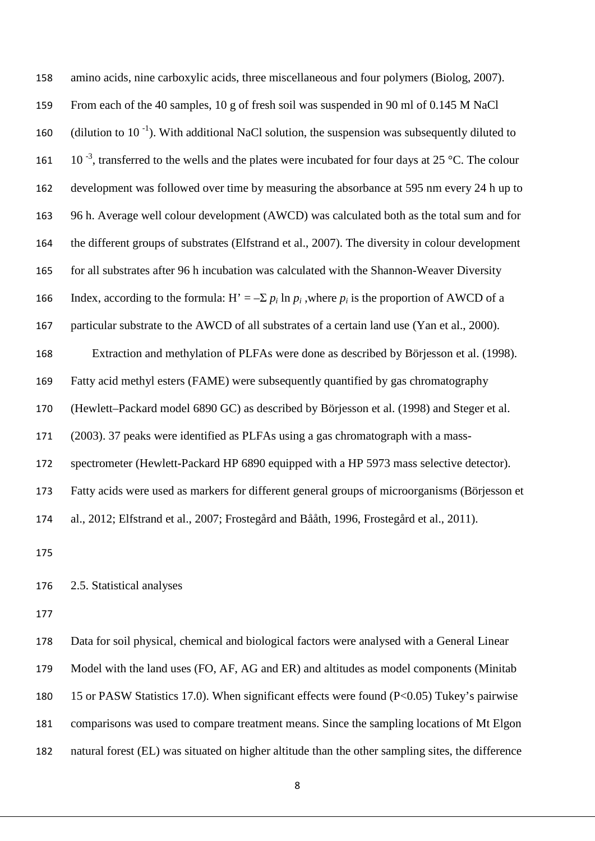| 158 | amino acids, nine carboxylic acids, three miscellaneous and four polymers (Biolog, 2007).                |
|-----|----------------------------------------------------------------------------------------------------------|
| 159 | From each of the 40 samples, 10 g of fresh soil was suspended in 90 ml of 0.145 M NaCl                   |
| 160 | (dilution to $10^{-1}$ ). With additional NaCl solution, the suspension was subsequently diluted to      |
| 161 | $10^{-3}$ , transferred to the wells and the plates were incubated for four days at 25 °C. The colour    |
| 162 | development was followed over time by measuring the absorbance at 595 nm every 24 h up to                |
| 163 | 96 h. Average well colour development (AWCD) was calculated both as the total sum and for                |
| 164 | the different groups of substrates (Elfstrand et al., 2007). The diversity in colour development         |
| 165 | for all substrates after 96 h incubation was calculated with the Shannon-Weaver Diversity                |
| 166 | Index, according to the formula: H' = $-\Sigma p_i \ln p_i$ , where $p_i$ is the proportion of AWCD of a |
| 167 | particular substrate to the AWCD of all substrates of a certain land use (Yan et al., 2000).             |
| 168 | Extraction and methylation of PLFAs were done as described by Börjesson et al. (1998).                   |
| 169 | Fatty acid methyl esters (FAME) were subsequently quantified by gas chromatography                       |
| 170 | (Hewlett-Packard model 6890 GC) as described by Börjesson et al. (1998) and Steger et al.                |
| 171 | (2003). 37 peaks were identified as PLFAs using a gas chromatograph with a mass-                         |
| 172 | spectrometer (Hewlett-Packard HP 6890 equipped with a HP 5973 mass selective detector).                  |
| 173 | Fatty acids were used as markers for different general groups of microorganisms (Börjesson et            |
| 174 | al., 2012; Elfstrand et al., 2007; Frostegård and Bååth, 1996, Frostegård et al., 2011).                 |
| 175 |                                                                                                          |
| 176 | 2.5. Statistical analyses                                                                                |
| 177 |                                                                                                          |
|     |                                                                                                          |

 Data for soil physical, chemical and biological factors were analysed with a General Linear Model with the land uses (FO, AF, AG and ER) and altitudes as model components (Minitab 15 or PASW Statistics 17.0). When significant effects were found (P<0.05) Tukey's pairwise comparisons was used to compare treatment means. Since the sampling locations of Mt Elgon natural forest (EL) was situated on higher altitude than the other sampling sites, the difference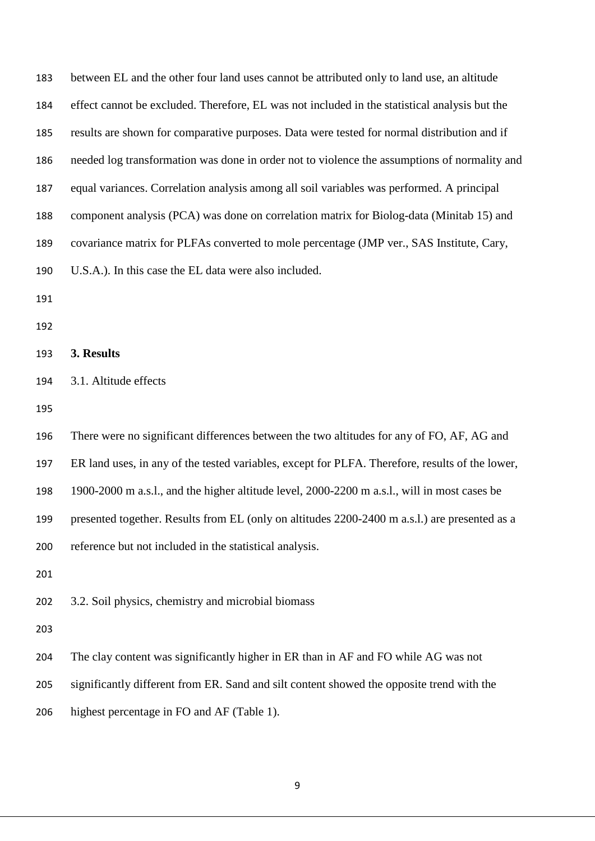| 183 | between EL and the other four land uses cannot be attributed only to land use, an altitude      |
|-----|-------------------------------------------------------------------------------------------------|
| 184 | effect cannot be excluded. Therefore, EL was not included in the statistical analysis but the   |
| 185 | results are shown for comparative purposes. Data were tested for normal distribution and if     |
| 186 | needed log transformation was done in order not to violence the assumptions of normality and    |
| 187 | equal variances. Correlation analysis among all soil variables was performed. A principal       |
| 188 | component analysis (PCA) was done on correlation matrix for Biolog-data (Minitab 15) and        |
| 189 | covariance matrix for PLFAs converted to mole percentage (JMP ver., SAS Institute, Cary,        |
| 190 | U.S.A.). In this case the EL data were also included.                                           |
| 191 |                                                                                                 |
| 192 |                                                                                                 |
| 193 | 3. Results                                                                                      |
| 194 | 3.1. Altitude effects                                                                           |
| 195 |                                                                                                 |
| 196 | There were no significant differences between the two altitudes for any of FO, AF, AG and       |
| 197 | ER land uses, in any of the tested variables, except for PLFA. Therefore, results of the lower, |
| 198 | 1900-2000 m a.s.l., and the higher altitude level, 2000-2200 m a.s.l., will in most cases be    |
| 199 | presented together. Results from EL (only on altitudes 2200-2400 m a.s.l.) are presented as a   |
| 200 | reference but not included in the statistical analysis.                                         |
| 201 |                                                                                                 |
| 202 | 3.2. Soil physics, chemistry and microbial biomass                                              |
| 203 |                                                                                                 |
| 204 | The clay content was significantly higher in ER than in AF and FO while AG was not              |
| 205 | significantly different from ER. Sand and silt content showed the opposite trend with the       |
| 206 | highest percentage in FO and AF (Table 1).                                                      |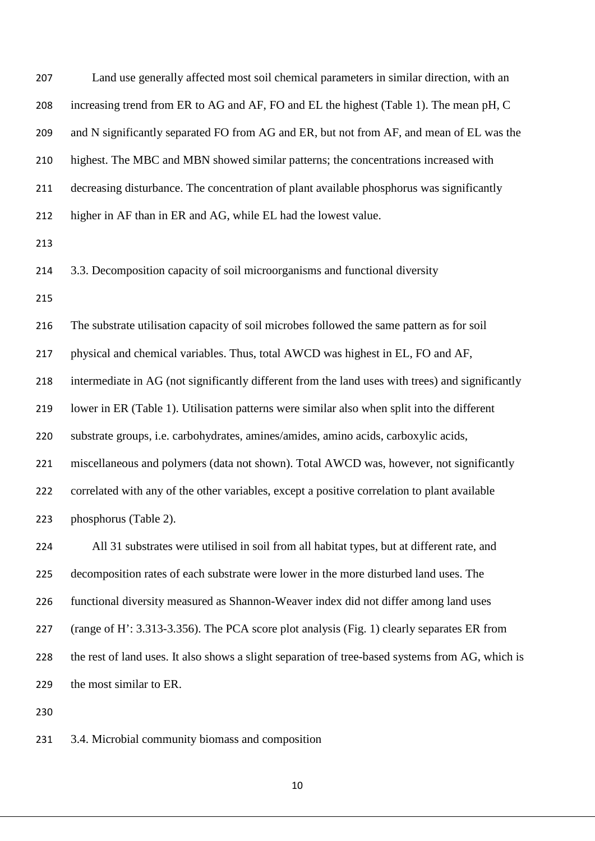| 207 | Land use generally affected most soil chemical parameters in similar direction, with an          |
|-----|--------------------------------------------------------------------------------------------------|
| 208 | increasing trend from ER to AG and AF, FO and EL the highest (Table 1). The mean pH, C           |
| 209 | and N significantly separated FO from AG and ER, but not from AF, and mean of EL was the         |
| 210 | highest. The MBC and MBN showed similar patterns; the concentrations increased with              |
| 211 | decreasing disturbance. The concentration of plant available phosphorus was significantly        |
| 212 | higher in AF than in ER and AG, while EL had the lowest value.                                   |
| 213 |                                                                                                  |
| 214 | 3.3. Decomposition capacity of soil microorganisms and functional diversity                      |
| 215 |                                                                                                  |
| 216 | The substrate utilisation capacity of soil microbes followed the same pattern as for soil        |
| 217 | physical and chemical variables. Thus, total AWCD was highest in EL, FO and AF,                  |
| 218 | intermediate in AG (not significantly different from the land uses with trees) and significantly |
| 219 | lower in ER (Table 1). Utilisation patterns were similar also when split into the different      |
| 220 | substrate groups, i.e. carbohydrates, amines/amides, amino acids, carboxylic acids,              |
| 221 | miscellaneous and polymers (data not shown). Total AWCD was, however, not significantly          |
| 222 | correlated with any of the other variables, except a positive correlation to plant available     |
| 223 | phosphorus (Table 2).                                                                            |
| 224 | All 31 substrates were utilised in soil from all habitat types, but at different rate, and       |
| 225 | decomposition rates of each substrate were lower in the more disturbed land uses. The            |
| 226 | functional diversity measured as Shannon-Weaver index did not differ among land uses             |
| 227 | (range of H': 3.313-3.356). The PCA score plot analysis (Fig. 1) clearly separates ER from       |
| 228 | the rest of land uses. It also shows a slight separation of tree-based systems from AG, which is |
| 229 | the most similar to ER.                                                                          |
| 230 |                                                                                                  |

3.4. Microbial community biomass and composition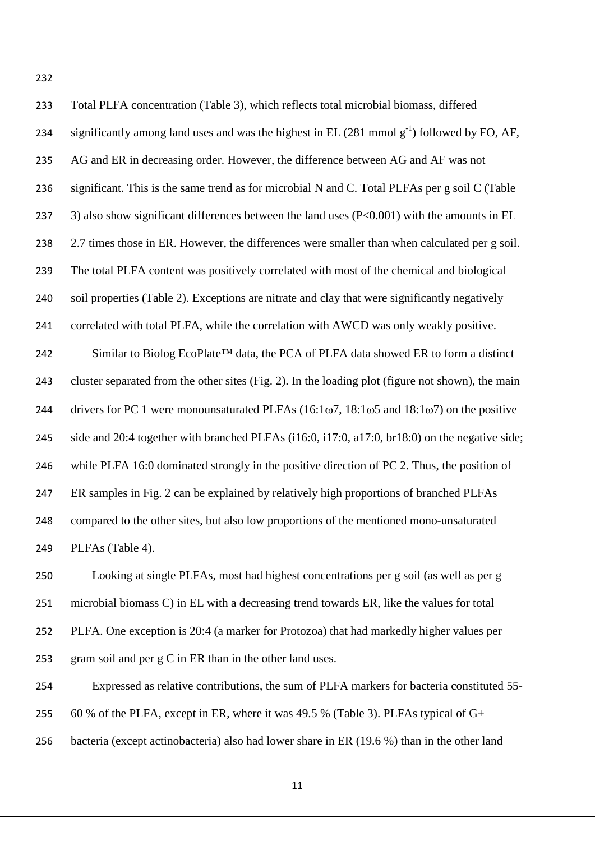| 233 | Total PLFA concentration (Table 3), which reflects total microbial biomass, differed                       |
|-----|------------------------------------------------------------------------------------------------------------|
| 234 | significantly among land uses and was the highest in EL $(281 \text{ mmol g}^{-1})$ followed by FO, AF,    |
| 235 | AG and ER in decreasing order. However, the difference between AG and AF was not                           |
| 236 | significant. This is the same trend as for microbial N and C. Total PLFAs per g soil C (Table              |
| 237 | 3) also show significant differences between the land uses $(P<0.001)$ with the amounts in EL              |
| 238 | 2.7 times those in ER. However, the differences were smaller than when calculated per g soil.              |
| 239 | The total PLFA content was positively correlated with most of the chemical and biological                  |
| 240 | soil properties (Table 2). Exceptions are nitrate and clay that were significantly negatively              |
| 241 | correlated with total PLFA, while the correlation with AWCD was only weakly positive.                      |
| 242 | Similar to Biolog EcoPlate™ data, the PCA of PLFA data showed ER to form a distinct                        |
| 243 | cluster separated from the other sites (Fig. 2). In the loading plot (figure not shown), the main          |
| 244 | drivers for PC 1 were monounsaturated PLFAs $(16:1\omega7, 18:1\omega5)$ and $18:1\omega7$ on the positive |
| 245 | side and 20:4 together with branched PLFAs (i16:0, i17:0, a17:0, br18:0) on the negative side;             |
| 246 | while PLFA 16:0 dominated strongly in the positive direction of PC 2. Thus, the position of                |
| 247 | ER samples in Fig. 2 can be explained by relatively high proportions of branched PLFAs                     |
| 248 | compared to the other sites, but also low proportions of the mentioned mono-unsaturated                    |
| 249 | PLFAs (Table 4).                                                                                           |
| 250 | Looking at single PLFAs, most had highest concentrations per g soil (as well as per g                      |

 microbial biomass C) in EL with a decreasing trend towards ER, like the values for total PLFA. One exception is 20:4 (a marker for Protozoa) that had markedly higher values per gram soil and per g C in ER than in the other land uses.

Expressed as relative contributions, the sum of PLFA markers for bacteria constituted 55-

255 60 % of the PLFA, except in ER, where it was 49.5 % (Table 3). PLFAs typical of  $G<sup>+</sup>$ 

bacteria (except actinobacteria) also had lower share in ER (19.6 %) than in the other land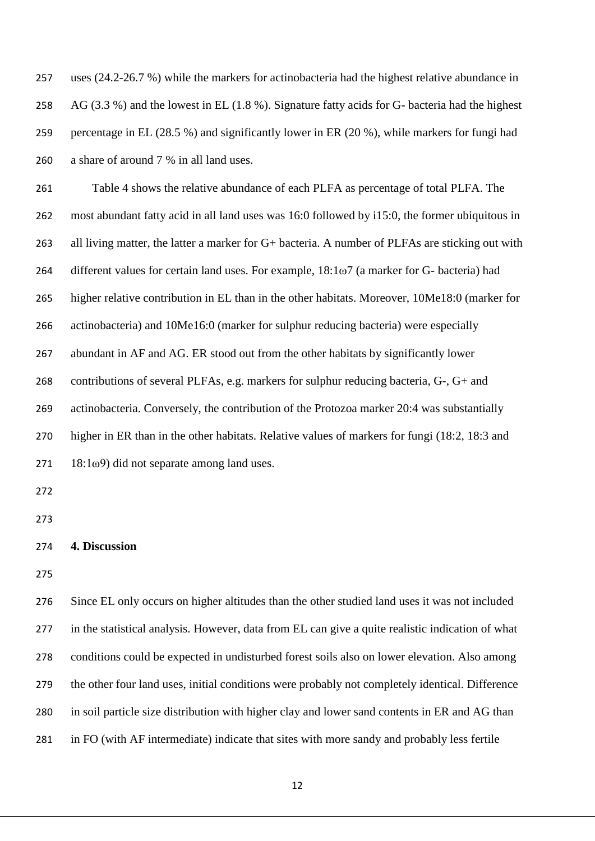uses (24.2-26.7 %) while the markers for actinobacteria had the highest relative abundance in AG (3.3 %) and the lowest in EL (1.8 %). Signature fatty acids for G- bacteria had the highest percentage in EL (28.5 %) and significantly lower in ER (20 %), while markers for fungi had a share of around 7 % in all land uses.

 Table 4 shows the relative abundance of each PLFA as percentage of total PLFA. The most abundant fatty acid in all land uses was 16:0 followed by i15:0, the former ubiquitous in all living matter, the latter a marker for G+ bacteria. A number of PLFAs are sticking out with different values for certain land uses. For example, 18:1ω7 (a marker for G- bacteria) had higher relative contribution in EL than in the other habitats. Moreover, 10Me18:0 (marker for actinobacteria) and 10Me16:0 (marker for sulphur reducing bacteria) were especially abundant in AF and AG. ER stood out from the other habitats by significantly lower contributions of several PLFAs, e.g. markers for sulphur reducing bacteria, G-, G+ and actinobacteria. Conversely, the contribution of the Protozoa marker 20:4 was substantially higher in ER than in the other habitats. Relative values of markers for fungi (18:2, 18:3 and 18:1ω9) did not separate among land uses.

| 274 |  | 4. Discussion |  |
|-----|--|---------------|--|
|-----|--|---------------|--|

 Since EL only occurs on higher altitudes than the other studied land uses it was not included in the statistical analysis. However, data from EL can give a quite realistic indication of what conditions could be expected in undisturbed forest soils also on lower elevation. Also among the other four land uses, initial conditions were probably not completely identical. Difference in soil particle size distribution with higher clay and lower sand contents in ER and AG than in FO (with AF intermediate) indicate that sites with more sandy and probably less fertile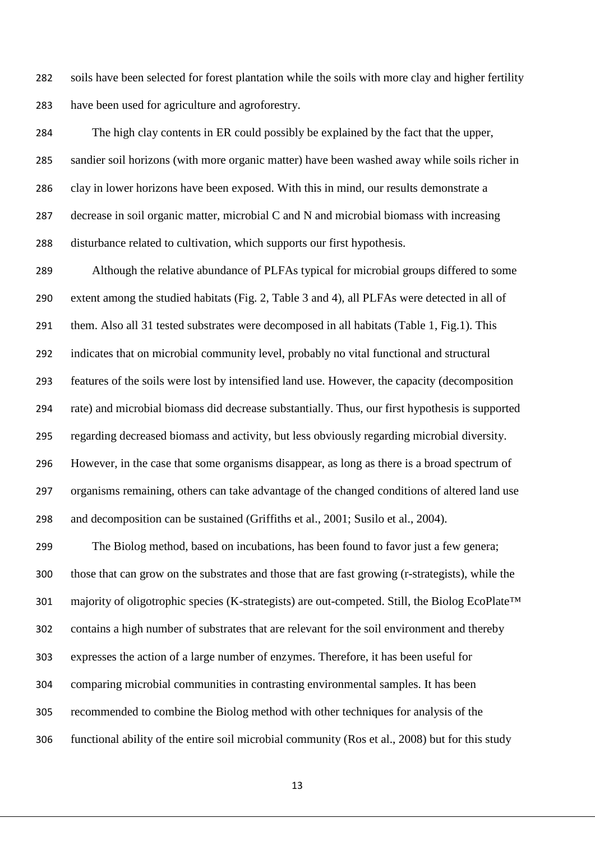soils have been selected for forest plantation while the soils with more clay and higher fertility have been used for agriculture and agroforestry.

 The high clay contents in ER could possibly be explained by the fact that the upper, sandier soil horizons (with more organic matter) have been washed away while soils richer in clay in lower horizons have been exposed. With this in mind, our results demonstrate a decrease in soil organic matter, microbial C and N and microbial biomass with increasing disturbance related to cultivation, which supports our first hypothesis.

 Although the relative abundance of PLFAs typical for microbial groups differed to some extent among the studied habitats (Fig. 2, Table 3 and 4), all PLFAs were detected in all of them. Also all 31 tested substrates were decomposed in all habitats (Table 1, Fig.1). This indicates that on microbial community level, probably no vital functional and structural features of the soils were lost by intensified land use. However, the capacity (decomposition rate) and microbial biomass did decrease substantially. Thus, our first hypothesis is supported regarding decreased biomass and activity, but less obviously regarding microbial diversity. However, in the case that some organisms disappear, as long as there is a broad spectrum of organisms remaining, others can take advantage of the changed conditions of altered land use and decomposition can be sustained (Griffiths et al., 2001; Susilo et al., 2004).

 The Biolog method, based on incubations, has been found to favor just a few genera; those that can grow on the substrates and those that are fast growing (r-strategists), while the 301 majority of oligotrophic species (K-strategists) are out-competed. Still, the Biolog EcoPlate™ contains a high number of substrates that are relevant for the soil environment and thereby expresses the action of a large number of enzymes. Therefore, it has been useful for comparing microbial communities in contrasting environmental samples. It has been recommended to combine the Biolog method with other techniques for analysis of the functional ability of the entire soil microbial community (Ros et al., 2008) but for this study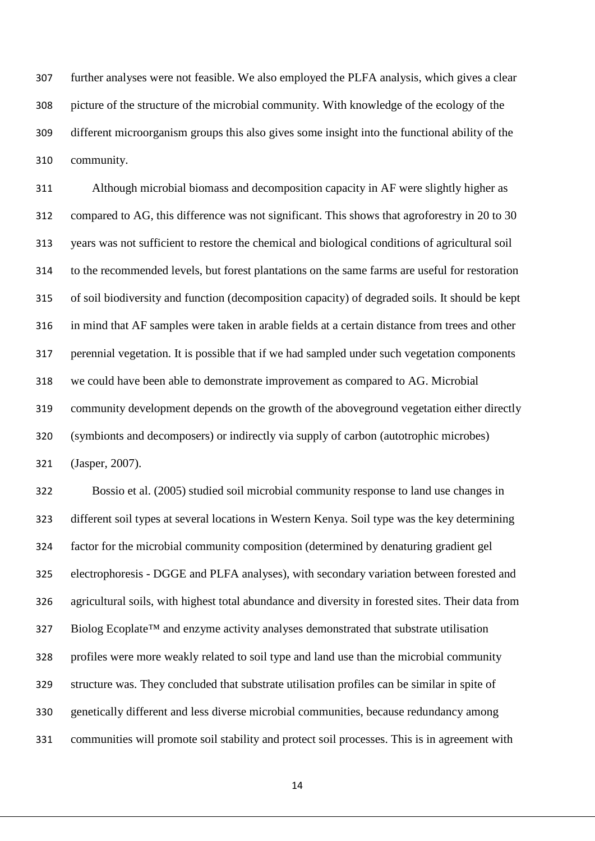further analyses were not feasible. We also employed the PLFA analysis, which gives a clear picture of the structure of the microbial community. With knowledge of the ecology of the different microorganism groups this also gives some insight into the functional ability of the community.

 Although microbial biomass and decomposition capacity in AF were slightly higher as compared to AG, this difference was not significant. This shows that agroforestry in 20 to 30 years was not sufficient to restore the chemical and biological conditions of agricultural soil to the recommended levels, but forest plantations on the same farms are useful for restoration of soil biodiversity and function (decomposition capacity) of degraded soils. It should be kept in mind that AF samples were taken in arable fields at a certain distance from trees and other perennial vegetation. It is possible that if we had sampled under such vegetation components we could have been able to demonstrate improvement as compared to AG. Microbial community development depends on the growth of the aboveground vegetation either directly (symbionts and decomposers) or indirectly via supply of carbon (autotrophic microbes) (Jasper, 2007).

 Bossio et al. (2005) studied soil microbial community response to land use changes in different soil types at several locations in Western Kenya. Soil type was the key determining factor for the microbial community composition (determined by denaturing gradient gel electrophoresis - DGGE and PLFA analyses), with secondary variation between forested and agricultural soils, with highest total abundance and diversity in forested sites. Their data from 327 Biolog Ecoplate™ and enzyme activity analyses demonstrated that substrate utilisation profiles were more weakly related to soil type and land use than the microbial community structure was. They concluded that substrate utilisation profiles can be similar in spite of genetically different and less diverse microbial communities, because redundancy among communities will promote soil stability and protect soil processes. This is in agreement with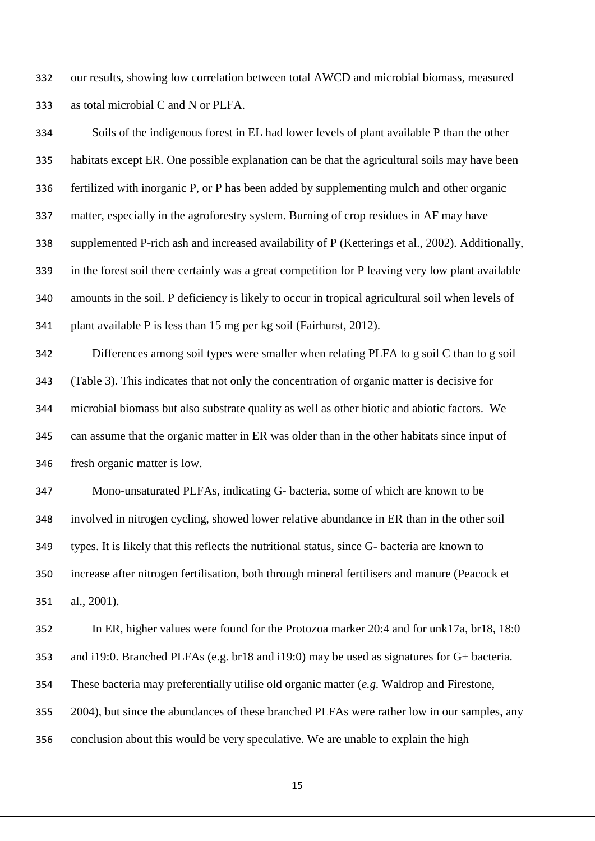our results, showing low correlation between total AWCD and microbial biomass, measured as total microbial C and N or PLFA.

 Soils of the indigenous forest in EL had lower levels of plant available P than the other habitats except ER. One possible explanation can be that the agricultural soils may have been fertilized with inorganic P, or P has been added by supplementing mulch and other organic matter, especially in the agroforestry system. Burning of crop residues in AF may have supplemented P-rich ash and increased availability of P (Ketterings et al., 2002). Additionally, in the forest soil there certainly was a great competition for P leaving very low plant available amounts in the soil. P deficiency is likely to occur in tropical agricultural soil when levels of plant available P is less than 15 mg per kg soil (Fairhurst, 2012).

 Differences among soil types were smaller when relating PLFA to g soil C than to g soil (Table 3). This indicates that not only the concentration of organic matter is decisive for microbial biomass but also substrate quality as well as other biotic and abiotic factors. We can assume that the organic matter in ER was older than in the other habitats since input of fresh organic matter is low.

 Mono-unsaturated PLFAs, indicating G- bacteria, some of which are known to be involved in nitrogen cycling, showed lower relative abundance in ER than in the other soil types. It is likely that this reflects the nutritional status, since G- bacteria are known to increase after nitrogen fertilisation, both through mineral fertilisers and manure (Peacock et al., 2001).

 In ER, higher values were found for the Protozoa marker 20:4 and for unk17a, br18, 18:0 and i19:0. Branched PLFAs (e.g. br18 and i19:0) may be used as signatures for G+ bacteria. These bacteria may preferentially utilise old organic matter (*e.g.* Waldrop and Firestone, 2004), but since the abundances of these branched PLFAs were rather low in our samples, any conclusion about this would be very speculative. We are unable to explain the high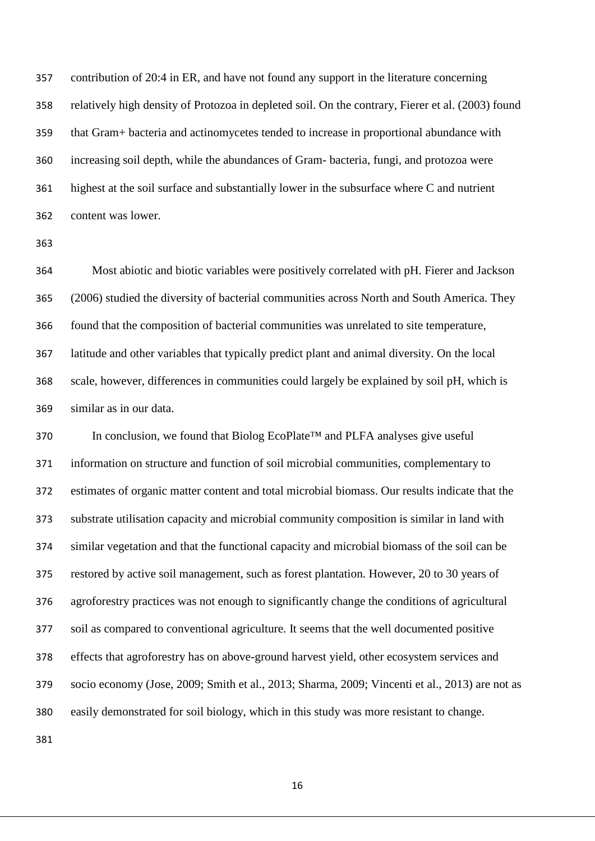contribution of 20:4 in ER, and have not found any support in the literature concerning relatively high density of Protozoa in depleted soil. On the contrary, Fierer et al. (2003) found that Gram+ bacteria and actinomycetes tended to increase in proportional abundance with increasing soil depth, while the abundances of Gram- bacteria, fungi, and protozoa were highest at the soil surface and substantially lower in the subsurface where C and nutrient content was lower.

 Most abiotic and biotic variables were positively correlated with pH. Fierer and Jackson (2006) studied the diversity of bacterial communities across North and South America. They found that the composition of bacterial communities was unrelated to site temperature, latitude and other variables that typically predict plant and animal diversity. On the local scale, however, differences in communities could largely be explained by soil pH, which is similar as in our data.

 In conclusion, we found that Biolog EcoPlate™ and PLFA analyses give useful information on structure and function of soil microbial communities, complementary to estimates of organic matter content and total microbial biomass. Our results indicate that the substrate utilisation capacity and microbial community composition is similar in land with similar vegetation and that the functional capacity and microbial biomass of the soil can be restored by active soil management, such as forest plantation. However, 20 to 30 years of agroforestry practices was not enough to significantly change the conditions of agricultural soil as compared to conventional agriculture. It seems that the well documented positive effects that agroforestry has on above-ground harvest yield, other ecosystem services and socio economy (Jose, 2009; Smith et al., 2013; Sharma, 2009; Vincenti et al., 2013) are not as easily demonstrated for soil biology, which in this study was more resistant to change.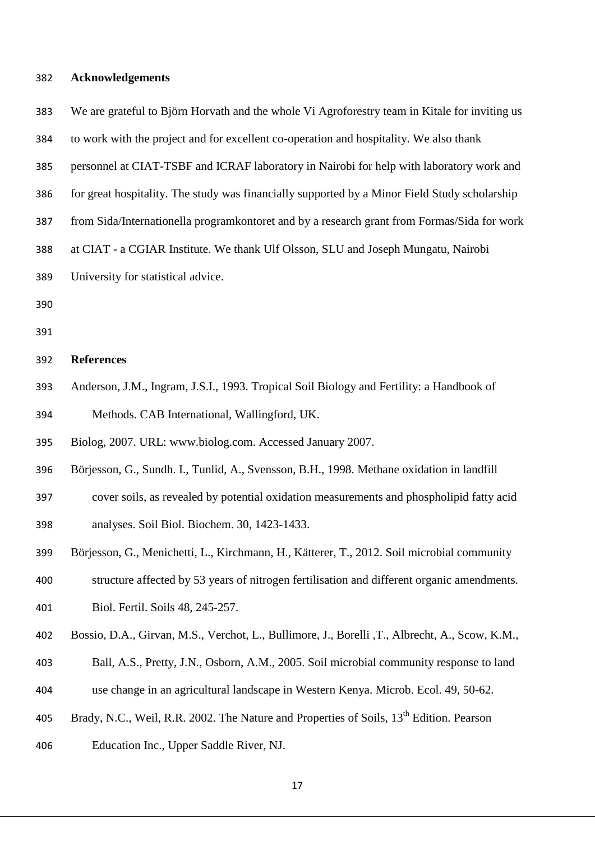# **Acknowledgements**

| 383 | We are grateful to Björn Horvath and the whole Vi Agroforestry team in Kitale for inviting us       |
|-----|-----------------------------------------------------------------------------------------------------|
| 384 | to work with the project and for excellent co-operation and hospitality. We also thank              |
| 385 | personnel at CIAT-TSBF and ICRAF laboratory in Nairobi for help with laboratory work and            |
| 386 | for great hospitality. The study was financially supported by a Minor Field Study scholarship       |
| 387 | from Sida/Internationella programkontoret and by a research grant from Formas/Sida for work         |
| 388 | at CIAT - a CGIAR Institute. We thank Ulf Olsson, SLU and Joseph Mungatu, Nairobi                   |
| 389 | University for statistical advice.                                                                  |
| 390 |                                                                                                     |
| 391 |                                                                                                     |
| 392 | <b>References</b>                                                                                   |
| 393 | Anderson, J.M., Ingram, J.S.I., 1993. Tropical Soil Biology and Fertility: a Handbook of            |
| 394 | Methods. CAB International, Wallingford, UK.                                                        |
| 395 | Biolog, 2007. URL: www.biolog.com. Accessed January 2007.                                           |
| 396 | Börjesson, G., Sundh. I., Tunlid, A., Svensson, B.H., 1998. Methane oxidation in landfill           |
| 397 | cover soils, as revealed by potential oxidation measurements and phospholipid fatty acid            |
| 398 | analyses. Soil Biol. Biochem. 30, 1423-1433.                                                        |
| 399 | Börjesson, G., Menichetti, L., Kirchmann, H., Kätterer, T., 2012. Soil microbial community          |
| 400 | structure affected by 53 years of nitrogen fertilisation and different organic amendments.          |
| 401 | Biol. Fertil. Soils 48, 245-257.                                                                    |
| 402 | Bossio, D.A., Girvan, M.S., Verchot, L., Bullimore, J., Borelli, T., Albrecht, A., Scow, K.M.,      |
| 403 | Ball, A.S., Pretty, J.N., Osborn, A.M., 2005. Soil microbial community response to land             |
| 404 | use change in an agricultural landscape in Western Kenya. Microb. Ecol. 49, 50-62.                  |
| 405 | Brady, N.C., Weil, R.R. 2002. The Nature and Properties of Soils, 13 <sup>th</sup> Edition. Pearson |
| 406 | Education Inc., Upper Saddle River, NJ.                                                             |
|     |                                                                                                     |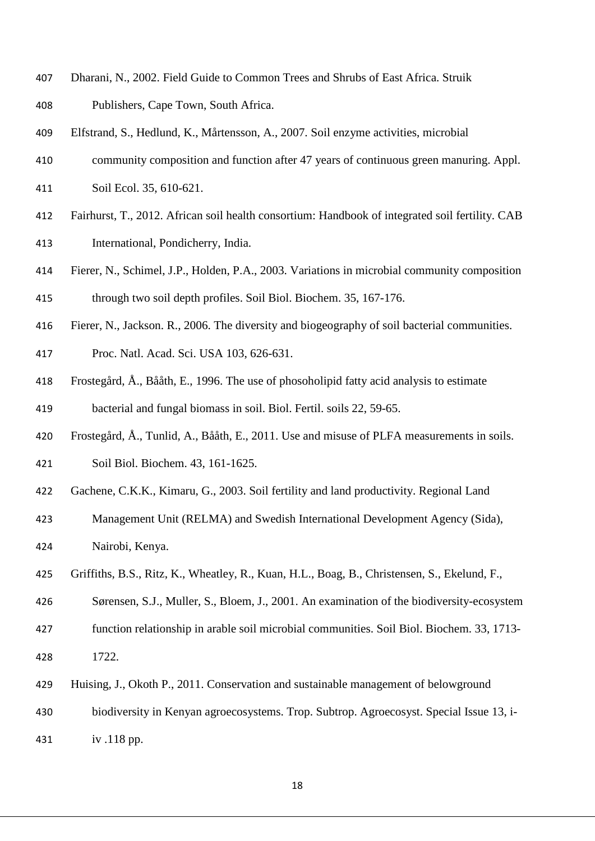- Dharani, N., 2002. Field Guide to Common Trees and Shrubs of East Africa. Struik
- Publishers, Cape Town, South Africa.
- Elfstrand, S., Hedlund, K., Mårtensson, A., 2007. Soil enzyme activities, microbial
- community composition and function after 47 years of continuous green manuring. Appl.
- Soil Ecol. 35, 610-621.
- Fairhurst, T., 2012. African soil health consortium: Handbook of integrated soil fertility. CAB International, Pondicherry, India.
- Fierer, N., Schimel, J.P., Holden, P.A., 2003. Variations in microbial community composition through two soil depth profiles. Soil Biol. Biochem. 35, 167-176.
- Fierer, N., Jackson. R., 2006. The diversity and biogeography of soil bacterial communities.
- Proc. Natl. Acad. Sci. USA 103, 626-631.
- Frostegård, Å., Bååth, E., 1996. The use of phosoholipid fatty acid analysis to estimate bacterial and fungal biomass in soil. Biol. Fertil. soils 22, 59-65.
- Frostegård, Å., Tunlid, A., Bååth, E., 2011. Use and misuse of PLFA measurements in soils. Soil Biol. Biochem. 43, 161-1625.
- Gachene, C.K.K., Kimaru, G., 2003. Soil fertility and land productivity. Regional Land
- Management Unit (RELMA) and Swedish International Development Agency (Sida),
- Nairobi, Kenya.
- Griffiths, B.S., Ritz, K., Wheatley, R., Kuan, H.L., Boag, B., Christensen, S., Ekelund, F.,
- Sørensen, S.J., Muller, S., Bloem, J., 2001. An examination of the biodiversity-ecosystem
- function relationship in arable soil microbial communities. Soil Biol. Biochem. 33, 1713- 1722.
- Huising, J., Okoth P., 2011. Conservation and sustainable management of belowground
- biodiversity in Kenyan agroecosystems. Trop. Subtrop. Agroecosyst. Special Issue 13, i-
- iv .118 pp.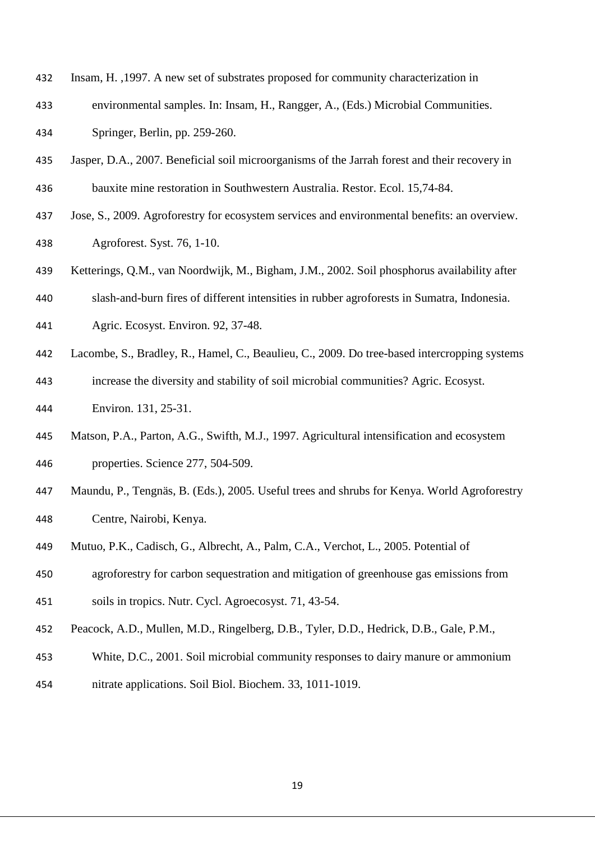- Insam, H. ,1997. A new set of substrates proposed for community characterization in
- environmental samples. In: Insam, H., Rangger, A., (Eds.) Microbial Communities. Springer, Berlin, pp. 259-260.
- Jasper, D.A., 2007. Beneficial soil microorganisms of the Jarrah forest and their recovery in bauxite mine restoration in Southwestern Australia. Restor. Ecol. 15,74-84.
- Jose, S., 2009. Agroforestry for ecosystem services and environmental benefits: an overview. Agroforest. Syst. 76, 1-10.
- Ketterings, Q.M., van Noordwijk, M., Bigham, J.M., 2002. Soil phosphorus availability after
- slash-and-burn fires of different intensities in rubber agroforests in Sumatra, Indonesia.
- Agric. Ecosyst. Environ. 92, 37-48.
- Lacombe, S., Bradley, R., Hamel, C., Beaulieu, C., 2009. Do tree-based intercropping systems
- increase the diversity and stability of soil microbial communities? Agric. Ecosyst. Environ. 131, 25-31.
- Matson, P.A., Parton, A.G., Swifth, M.J., 1997. Agricultural intensification and ecosystem properties. Science 277, 504-509.
- Maundu, P., Tengnäs, B. (Eds.), 2005. Useful trees and shrubs for Kenya. World Agroforestry Centre, Nairobi, Kenya.
- Mutuo, P.K., Cadisch, G., Albrecht, A., Palm, C.A., Verchot, L., 2005. Potential of
- agroforestry for carbon sequestration and mitigation of greenhouse gas emissions from
- soils in tropics. Nutr. Cycl. Agroecosyst. 71, 43-54.
- Peacock, A.D., Mullen, M.D., Ringelberg, D.B., Tyler, D.D., Hedrick, D.B., Gale, P.M.,
- White, D.C., 2001. Soil microbial community responses to dairy manure or ammonium
- nitrate applications. Soil Biol. Biochem. 33, 1011-1019.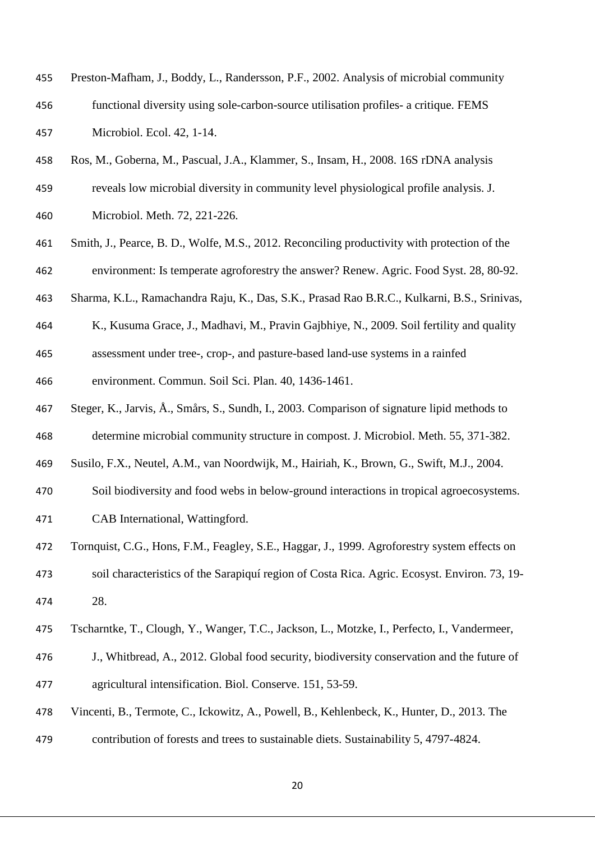| 455 | Preston-Mafham, J., Boddy, L., Randersson, P.F., 2002. Analysis of microbial community |
|-----|----------------------------------------------------------------------------------------|
| 456 | functional diversity using sole-carbon-source utilisation profiles- a critique. FEMS   |
| 457 | Microbiol. Ecol. 42, 1-14.                                                             |

Ros, M., Goberna, M., Pascual, J.A., Klammer, S., Insam, H., 2008. 16S rDNA analysis

 reveals low microbial diversity in community level physiological profile analysis. J. Microbiol. Meth. 72, 221-226.

- Smith, J., Pearce, B. D., Wolfe, M.S., 2012. Reconciling productivity with protection of the environment: Is temperate agroforestry the answer? Renew. Agric. Food Syst. 28, 80-92.
- Sharma, K.L., Ramachandra Raju, K., Das, S.K., Prasad Rao B.R.C., Kulkarni, B.S., Srinivas,
- K., Kusuma Grace, J., Madhavi, M., Pravin Gajbhiye, N., 2009. Soil fertility and quality
- assessment under tree-, crop-, and pasture-based land-use systems in a rainfed

environment. Commun. Soil Sci. Plan. 40, 1436-1461.

- Steger, K., Jarvis, Å., Smårs, S., Sundh, I., 2003. Comparison of signature lipid methods to
- determine microbial community structure in compost. J. Microbiol. Meth. 55, 371-382.
- Susilo, F.X., Neutel, A.M., van Noordwijk, M., Hairiah, K., Brown, G., Swift, M.J., 2004.
- Soil biodiversity and food webs in below-ground interactions in tropical agroecosystems.

CAB International, Wattingford.

- Tornquist, C.G., Hons, F.M., Feagley, S.E., Haggar, J., 1999. Agroforestry system effects on soil characteristics of the Sarapiquí region of Costa Rica. Agric. Ecosyst. Environ. 73, 19- 28.
- Tscharntke, T., Clough, Y., Wanger, T.C., Jackson, L., Motzke, I., Perfecto, I., Vandermeer,
- J., Whitbread, A., 2012. Global food security, biodiversity conservation and the future of agricultural intensification. Biol. Conserve. 151, 53-59.
- Vincenti, B., Termote, C., Ickowitz, A., Powell, B., Kehlenbeck, K., Hunter, D., 2013. The
- contribution of forests and trees to sustainable diets. Sustainability 5, 4797-4824.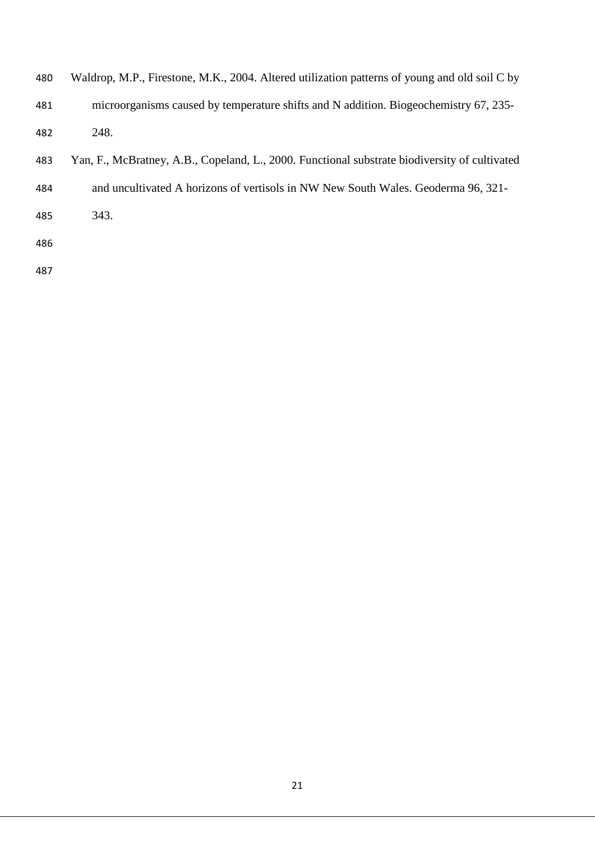| 480 | Waldrop, M.P., Firestone, M.K., 2004. Altered utilization patterns of young and old soil C by |
|-----|-----------------------------------------------------------------------------------------------|
| 481 | microorganisms caused by temperature shifts and N addition. Biogeochemistry 67, 235-          |
| 482 | 248.                                                                                          |

- Yan, F., McBratney, A.B., Copeland, L., 2000. Functional substrate biodiversity of cultivated
- and uncultivated A horizons of vertisols in NW New South Wales. Geoderma 96, 321-

343.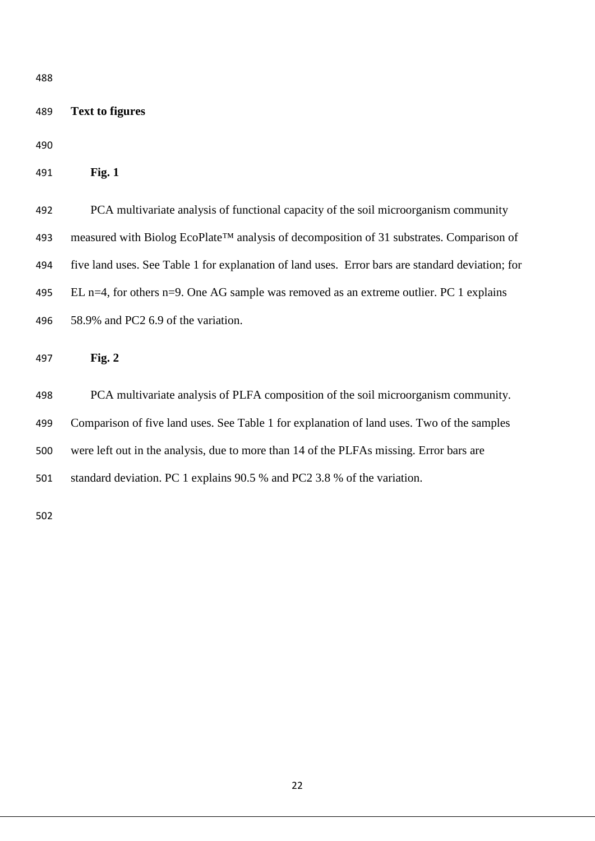| 489 | <b>Text to figures</b>                                                                                |
|-----|-------------------------------------------------------------------------------------------------------|
| 490 |                                                                                                       |
| 491 | Fig. 1                                                                                                |
| 492 | PCA multivariate analysis of functional capacity of the soil microorganism community                  |
| 493 | measured with Biolog EcoPlate <sup>TM</sup> analysis of decomposition of 31 substrates. Comparison of |
| 494 | five land uses. See Table 1 for explanation of land uses. Error bars are standard deviation; for      |
| 495 | EL n=4, for others n=9. One AG sample was removed as an extreme outlier. PC 1 explains                |
| 496 | 58.9% and PC2 6.9 of the variation.                                                                   |
| 497 | Fig. $2$                                                                                              |
| 498 | PCA multivariate analysis of PLFA composition of the soil microorganism community.                    |
| 499 | Comparison of five land uses. See Table 1 for explanation of land uses. Two of the samples            |
| 500 | were left out in the analysis, due to more than 14 of the PLFAs missing. Error bars are               |
| 501 | standard deviation. PC 1 explains 90.5 % and PC2 3.8 % of the variation.                              |
| 502 |                                                                                                       |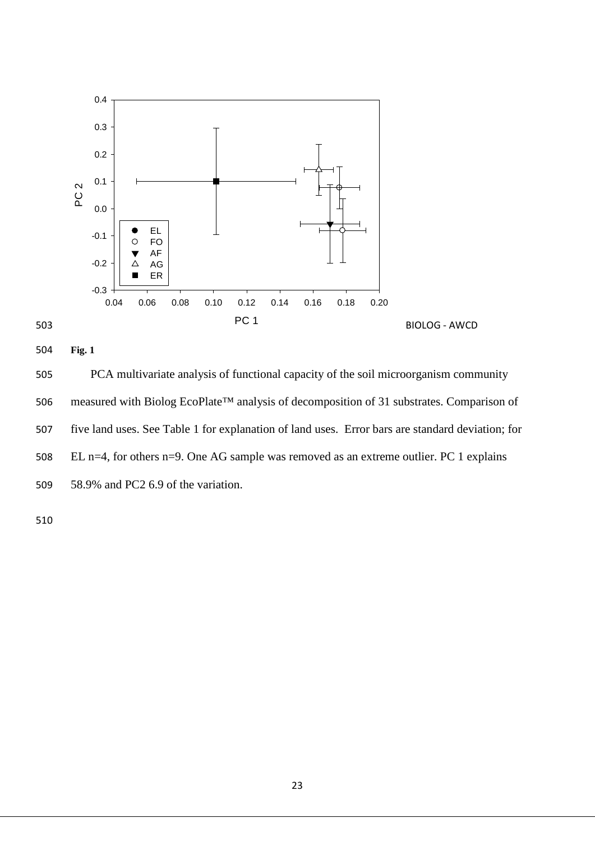



504 **Fig. 1**

505 PCA multivariate analysis of functional capacity of the soil microorganism community 506 measured with Biolog EcoPlate™ analysis of decomposition of 31 substrates. Comparison of 507 five land uses. See Table 1 for explanation of land uses. Error bars are standard deviation; for 508 EL n=4, for others n=9. One AG sample was removed as an extreme outlier. PC 1 explains 509 58.9% and PC2 6.9 of the variation.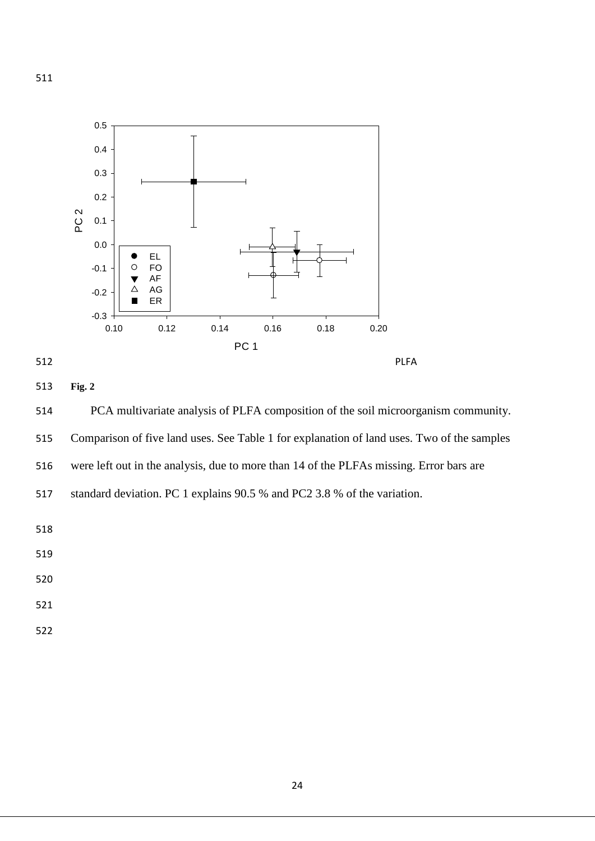



### 513 **Fig. 2**

514 PCA multivariate analysis of PLFA composition of the soil microorganism community. 515 Comparison of five land uses. See Table 1 for explanation of land uses. Two of the samples 516 were left out in the analysis, due to more than 14 of the PLFAs missing. Error bars are

517 standard deviation. PC 1 explains 90.5 % and PC2 3.8 % of the variation.

- 519
- 520
- 521
- 522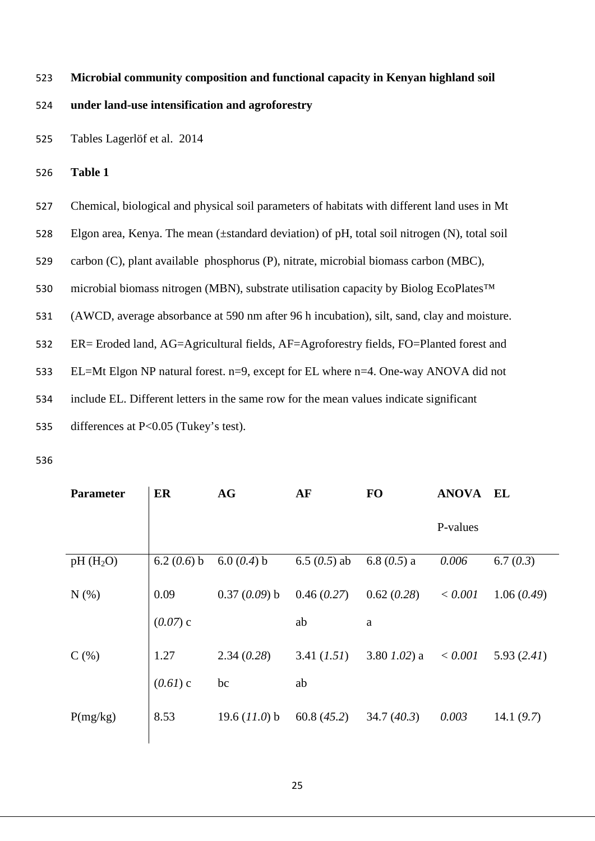## 523 **Microbial community composition and functional capacity in Kenyan highland soil**

### 524 **under land-use intensification and agroforestry**

- 525 Tables Lagerlöf et al. 2014
- 526 **Table 1**

| 527 | Chemical, biological and physical soil parameters of habitats with different land uses in Mt       |
|-----|----------------------------------------------------------------------------------------------------|
| 528 | Elgon area, Kenya. The mean ( $\pm$ standard deviation) of pH, total soil nitrogen (N), total soil |
| 529 | carbon (C), plant available phosphorus (P), nitrate, microbial biomass carbon (MBC),               |
| 530 | microbial biomass nitrogen (MBN), substrate utilisation capacity by Biolog EcoPlates <sup>TM</sup> |
| 531 | (AWCD, average absorbance at 590 nm after 96 h incubation), silt, sand, clay and moisture.         |
| 532 | ER= Eroded land, AG=Agricultural fields, AF=Agroforestry fields, FO=Planted forest and             |
| 533 | EL=Mt Elgon NP natural forest. n=9, except for EL where n=4. One-way ANOVA did not                 |
| 534 | include EL. Different letters in the same row for the mean values indicate significant             |
| 535 | differences at $P<0.05$ (Tukey's test).                                                            |

| <b>Parameter</b> | ER            | AG              | AF             | <b>FO</b>       | <b>ANOVA EL</b> |              |
|------------------|---------------|-----------------|----------------|-----------------|-----------------|--------------|
|                  |               |                 |                |                 | P-values        |              |
| $pH(H_2O)$       | 6.2 $(0.6)$ b | 6.0 $(0.4)$ b   | 6.5 $(0.5)$ ab | 6.8 $(0.5)$ a   | 0.006           | 6.7(0.3)     |
| $N(\%)$          | 0.09          | $0.37(0.09)$ b  | 0.46(0.27)     | 0.62(0.28)      | < 0.001         | 1.06(0.49)   |
|                  | $(0.07)$ c    |                 | ab             | $\rm{a}$        |                 |              |
| $C(\%)$          | 1.27          | 2.34(0.28)      | 3.41 (1.51)    | 3.80 $1.02$ ) a | < 0.001         | 5.93(2.41)   |
|                  | $(0.61)$ c    | bc              | ab             |                 |                 |              |
| P(mg/kg)         | 8.53          | 19.6 $(11.0)$ b | 60.8(45.2)     | 34.7(40.3)      | 0.003           | 14.1 $(9.7)$ |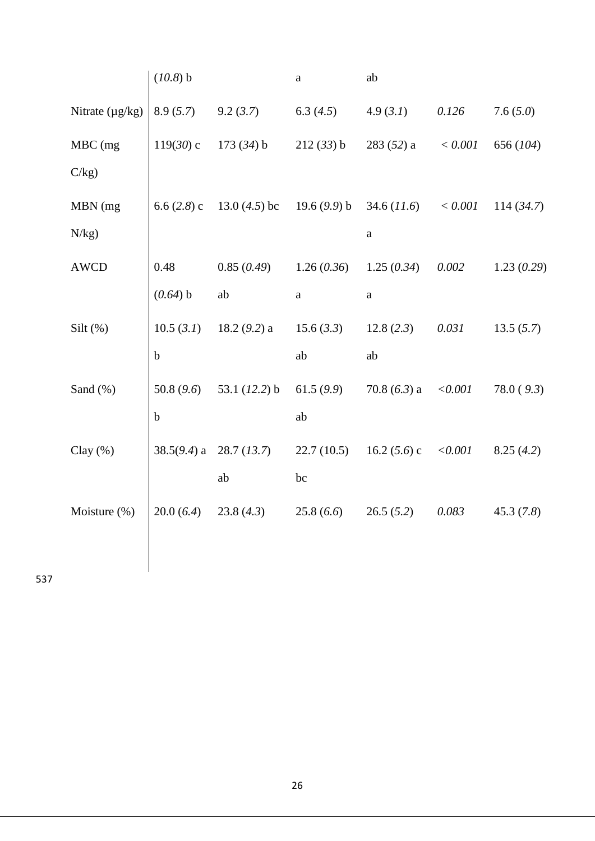|                      | $(10.8)$ b  |                                              | $\mathbf a$  | ab             |           |            |
|----------------------|-------------|----------------------------------------------|--------------|----------------|-----------|------------|
| Nitrate $(\mu g/kg)$ | 8.9(5.7)    | 9.2(3.7)                                     | 6.3 $(4.5)$  | 4.9(3.1)       | 0.126     | 7.6(5.0)   |
| MBC (mg              | $119(30)$ c | $173(34)$ b                                  | 212(33) b    | $283(52)$ a    | $< 0.001$ | 656 (104)  |
| C/kg                 |             |                                              |              |                |           |            |
| MBN (mg              |             | 6.6 $(2.8)$ c 13.0 $(4.5)$ bc 19.6 $(9.9)$ b |              | 34.6 (11.6)    | $< 0.001$ | 114(34.7)  |
| N/kg)                |             |                                              |              | $\rm{a}$       |           |            |
| <b>AWCD</b>          | 0.48        | 0.85(0.49)                                   | 1.26(0.36)   | 1.25(0.34)     | $0.002\,$ | 1.23(0.29) |
|                      | (0.64) b    | ab                                           | $\mathbf{a}$ | $\mathbf{a}$   |           |            |
| Silt $(\%)$          |             | $10.5$ (3.1) 18.2 (9.2) a                    | 15.6 (3.3)   | 12.8(2.3)      | 0.031     | 13.5(5.7)  |
|                      | $\mathbf b$ |                                              | ab           | ab             |           |            |
| Sand (%)             | 50.8(9.6)   | 53.1 $(12.2)$ b                              | 61.5(9.9)    | 70.8 $(6.3)$ a | < 0.001   | 78.0(9.3)  |
|                      | $\mathbf b$ |                                              | ab           |                |           |            |
| Clay $(\%)$          |             | 38.5 $(9.4)$ a 28.7 $(13.7)$                 | 22.7(10.5)   | 16.2 $(5.6)$ c | < 0.001   | 8.25(4.2)  |
|                      |             | ab                                           | bc           |                |           |            |
| Moisture (%)         | 20.0(6.4)   | 23.8(4.3)                                    | 25.8(6.6)    | 26.5(5.2)      | 0.083     | 45.3(7.8)  |
|                      |             |                                              |              |                |           |            |
|                      |             |                                              |              |                |           |            |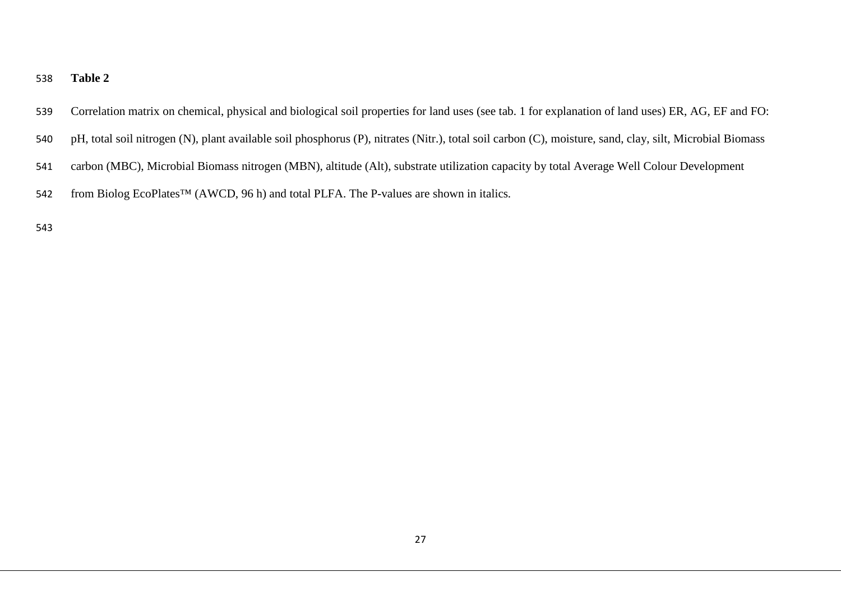#### **Table 2**

- Correlation matrix on chemical, physical and biological soil properties for land uses (see tab. 1 for explanation of land uses) ER, AG, EF and FO:
- pH, total soil nitrogen (N), plant available soil phosphorus (P), nitrates (Nitr.), total soil carbon (C), moisture, sand, clay, silt, Microbial Biomass
- carbon (MBC), Microbial Biomass nitrogen (MBN), altitude (Alt), substrate utilization capacity by total Average Well Colour Development
- from Biolog EcoPlates™ (AWCD, 96 h) and total PLFA. The P-values are shown in italics*.*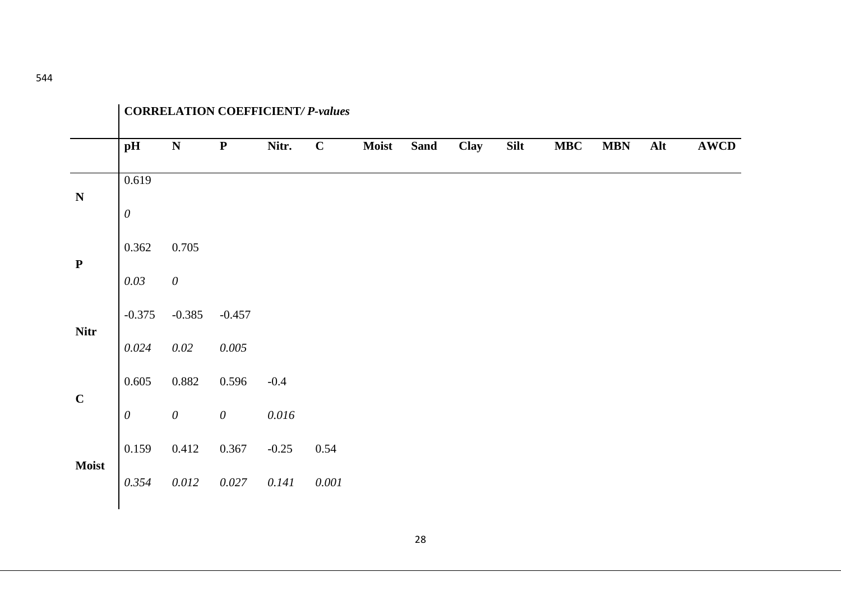|              | <b>CORRELATION COEFFICIENT/ P-values</b> |                       |                       |           |             |       |             |      |             |            |            |     |             |
|--------------|------------------------------------------|-----------------------|-----------------------|-----------|-------------|-------|-------------|------|-------------|------------|------------|-----|-------------|
|              | pH                                       | ${\bf N}$             | ${\bf P}$             | Nitr.     | $\mathbf C$ | Moist | <b>Sand</b> | Clay | <b>Silt</b> | <b>MBC</b> | <b>MBN</b> | Alt | <b>AWCD</b> |
| ${\bf N}$    | 0.619                                    |                       |                       |           |             |       |             |      |             |            |            |     |             |
|              | $\theta$                                 |                       |                       |           |             |       |             |      |             |            |            |     |             |
| ${\bf P}$    | 0.362                                    | 0.705                 |                       |           |             |       |             |      |             |            |            |     |             |
|              | 0.03                                     | $\boldsymbol{\theta}$ |                       |           |             |       |             |      |             |            |            |     |             |
|              | $-0.375$                                 | $-0.385$              | $-0.457$              |           |             |       |             |      |             |            |            |     |             |
| <b>Nitr</b>  | 0.024                                    | $0.02\,$              | 0.005                 |           |             |       |             |      |             |            |            |     |             |
| $\mathbf C$  | 0.605                                    | 0.882                 | 0.596                 | $-0.4$    |             |       |             |      |             |            |            |     |             |
|              | $\boldsymbol{\mathit{0}}$                | $\boldsymbol{\theta}$ | $\boldsymbol{\theta}$ | $0.016\,$ |             |       |             |      |             |            |            |     |             |
|              | 0.159                                    | 0.412                 | 0.367                 | $-0.25$   | 0.54        |       |             |      |             |            |            |     |             |
| <b>Moist</b> | 0.354                                    | 0.012                 | 0.027                 | 0.141     | $0.001\,$   |       |             |      |             |            |            |     |             |
|              |                                          |                       |                       |           |             |       |             |      |             |            |            |     |             |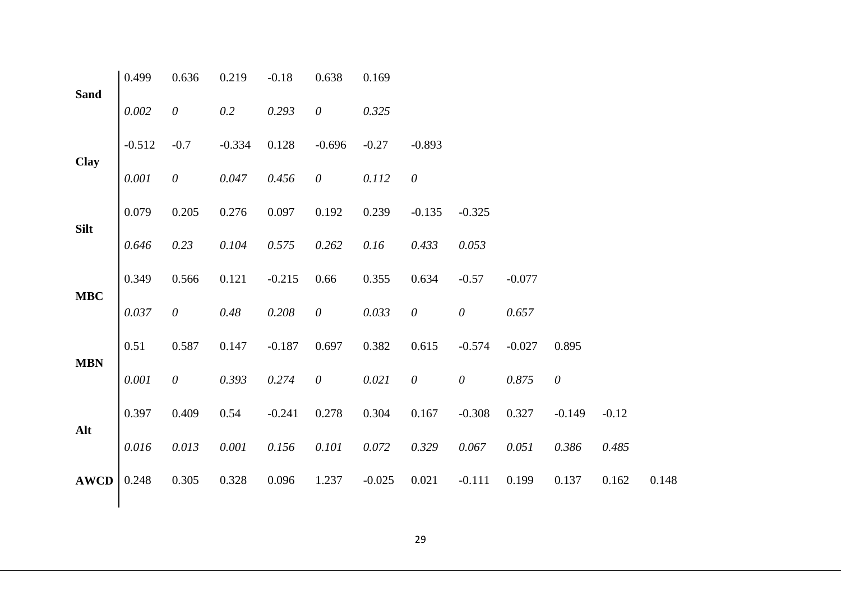| <b>Sand</b> | 0.499    | 0.636                 | 0.219    | $-0.18$  | 0.638                 | 0.169    |                       |                       |          |                       |         |       |
|-------------|----------|-----------------------|----------|----------|-----------------------|----------|-----------------------|-----------------------|----------|-----------------------|---------|-------|
|             | 0.002    | $\theta$              | 0.2      | 0.293    | $\theta$              | 0.325    |                       |                       |          |                       |         |       |
| <b>Clay</b> | $-0.512$ | $-0.7$                | $-0.334$ | 0.128    | $-0.696$              | $-0.27$  | $-0.893$              |                       |          |                       |         |       |
|             | 0.001    | $\boldsymbol{\theta}$ | 0.047    | 0.456    | $\boldsymbol{\theta}$ | 0.112    | $\boldsymbol{\theta}$ |                       |          |                       |         |       |
| <b>Silt</b> | 0.079    | 0.205                 | 0.276    | 0.097    | 0.192                 | 0.239    | $-0.135$              | $-0.325$              |          |                       |         |       |
|             | 0.646    | 0.23                  | 0.104    | 0.575    | 0.262                 | 0.16     | 0.433                 | 0.053                 |          |                       |         |       |
| <b>MBC</b>  | 0.349    | 0.566                 | 0.121    | $-0.215$ | 0.66                  | 0.355    | 0.634                 | $-0.57$               | $-0.077$ |                       |         |       |
|             | 0.037    | $\boldsymbol{\theta}$ | 0.48     | 0.208    | $\boldsymbol{\theta}$ | 0.033    | $\boldsymbol{\theta}$ | $\mathcal O$          | 0.657    |                       |         |       |
| <b>MBN</b>  | 0.51     | 0.587                 | 0.147    | $-0.187$ | 0.697                 | 0.382    | 0.615                 | $-0.574$              | $-0.027$ | 0.895                 |         |       |
|             | 0.001    | $\theta$              | 0.393    | 0.274    | $\theta$              | 0.021    | $\boldsymbol{\theta}$ | $\boldsymbol{\theta}$ | 0.875    | $\boldsymbol{\theta}$ |         |       |
| Alt         | 0.397    | 0.409                 | 0.54     | $-0.241$ | 0.278                 | 0.304    | 0.167                 | $-0.308$              | 0.327    | $-0.149$              | $-0.12$ |       |
|             | 0.016    | 0.013                 | 0.001    | 0.156    | 0.101                 | 0.072    | 0.329                 | 0.067                 | 0.051    | 0.386                 | 0.485   |       |
| <b>AWCD</b> | 0.248    | 0.305                 | 0.328    | 0.096    | 1.237                 | $-0.025$ | 0.021                 | $-0.111$              | 0.199    | 0.137                 | 0.162   | 0.148 |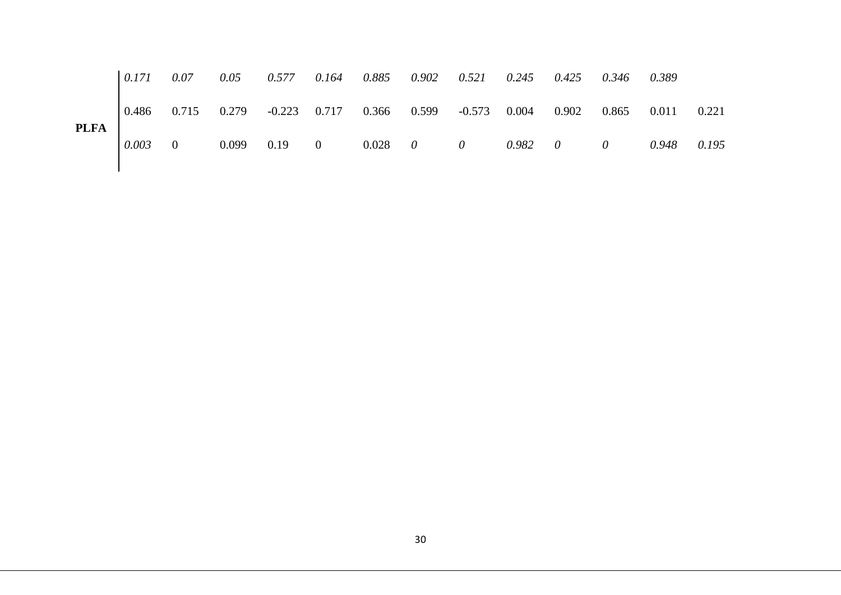|             |  |  |  | $\begin{bmatrix} 0.171 & 0.07 & 0.05 & 0.577 & 0.164 & 0.885 & 0.902 & 0.521 & 0.245 & 0.425 & 0.346 & 0.389 \end{bmatrix}$             |  |  |  |
|-------------|--|--|--|-----------------------------------------------------------------------------------------------------------------------------------------|--|--|--|
|             |  |  |  | $\begin{bmatrix} 0.486 & 0.715 & 0.279 & -0.223 & 0.717 & 0.366 & 0.599 & -0.573 & 0.004 & 0.902 & 0.865 & 0.011 & 0.221 \end{bmatrix}$ |  |  |  |
| <b>PLFA</b> |  |  |  | $\begin{array}{ccccccccccccc}\n0.003 & 0 & 0.099 & 0.19 & 0 & 0.028 & 0 & 0 & 0.982 & 0 & 0 & 0.948 & 0.195\n\end{array}$               |  |  |  |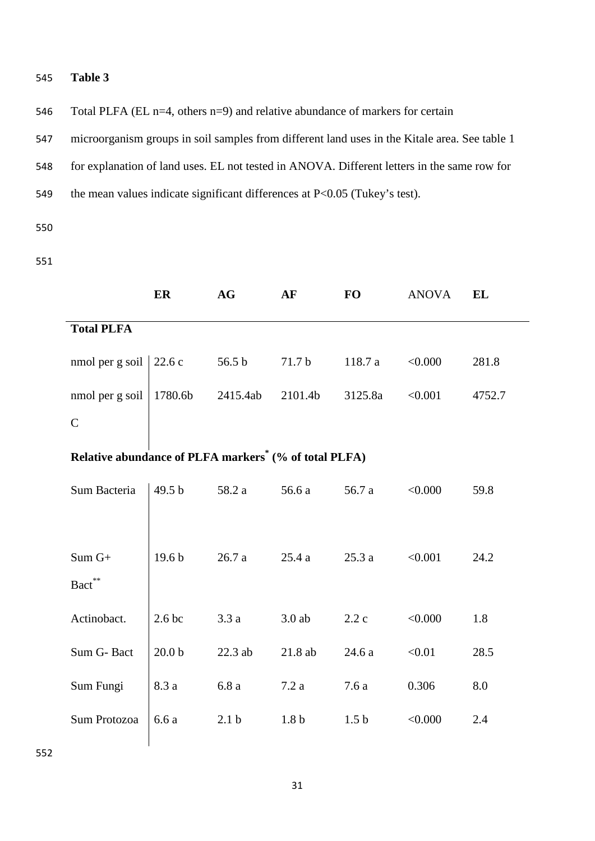### 545 **Table 3**

546 Total PLFA (EL n=4, others n=9) and relative abundance of markers for certain

547 microorganism groups in soil samples from different land uses in the Kitale area. See table 1

548 for explanation of land uses. EL not tested in ANOVA. Different letters in the same row for

549 the mean values indicate significant differences at P<0.05 (Tukey's test).

550

551

|                                                                   | ER                | AG               | AF               | <b>FO</b>        | <b>ANOVA</b> | <b>EL</b> |  |  |  |  |  |
|-------------------------------------------------------------------|-------------------|------------------|------------------|------------------|--------------|-----------|--|--|--|--|--|
| <b>Total PLFA</b>                                                 |                   |                  |                  |                  |              |           |  |  |  |  |  |
| nmol per g soil                                                   | 22.6c             | 56.5 b           | 71.7 b           | 118.7 a          | < 0.000      | 281.8     |  |  |  |  |  |
| nmol per g soil                                                   | 1780.6b           | 2415.4ab         | 2101.4b          | 3125.8a          | < 0.001      | 4752.7    |  |  |  |  |  |
| $\mathcal{C}$                                                     |                   |                  |                  |                  |              |           |  |  |  |  |  |
| Relative abundance of PLFA markers <sup>*</sup> (% of total PLFA) |                   |                  |                  |                  |              |           |  |  |  |  |  |
| Sum Bacteria                                                      | 49.5 b            | 58.2 a           | 56.6 a           | 56.7 a           | < 0.000      | 59.8      |  |  |  |  |  |
|                                                                   |                   |                  |                  |                  |              |           |  |  |  |  |  |
| $Sum G+$                                                          | 19.6 <sub>b</sub> | 26.7a            | 25.4a            | 25.3a            | < 0.001      | 24.2      |  |  |  |  |  |
| $\mbox{Bact}^{**}$                                                |                   |                  |                  |                  |              |           |  |  |  |  |  |
| Actinobact.                                                       | 2.6 <sub>bc</sub> | 3.3a             | $3.0$ ab         | 2.2c             | < 0.000      | 1.8       |  |  |  |  |  |
| Sum G-Bact                                                        | 20.0 <sub>b</sub> | 22.3 ab          | 21.8ab           | 24.6 a           | < 0.01       | 28.5      |  |  |  |  |  |
| Sum Fungi                                                         | 8.3 a             | 6.8a             | 7.2a             | 7.6a             | 0.306        | 8.0       |  |  |  |  |  |
| Sum Protozoa                                                      | 6.6 a             | 2.1 <sub>b</sub> | 1.8 <sub>b</sub> | 1.5 <sub>b</sub> | < 0.000      | 2.4       |  |  |  |  |  |
|                                                                   |                   |                  |                  |                  |              |           |  |  |  |  |  |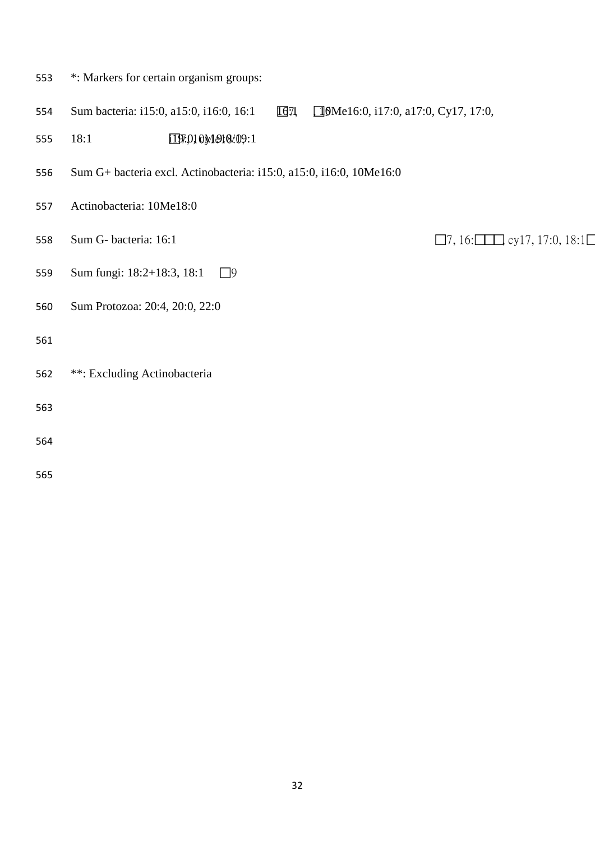- \*: Markers for certain organism groups: 554 Sum bacteria: i15:0, a15:0, i16:0, 16:1 **16**71 **16:**0, i17:0, a17:0, Cy17, 17:0, 18:1 i19:0, 7, 10Me18:0, cy19:0/19:1 Sum G+ bacteria excl. Actinobacteria: i15:0, a15:0, i16:0, 10Me16:0 Actinobacteria: 10Me18:0 Sum G- bacteria: 16:1 7, 16:, cy17, 17:0, 18:1 559 Sum fungi: 18:2+18:3, 18:1 □9 Sum Protozoa: 20:4, 20:0, 22:0 \*\*: Excluding Actinobacteria
- 
-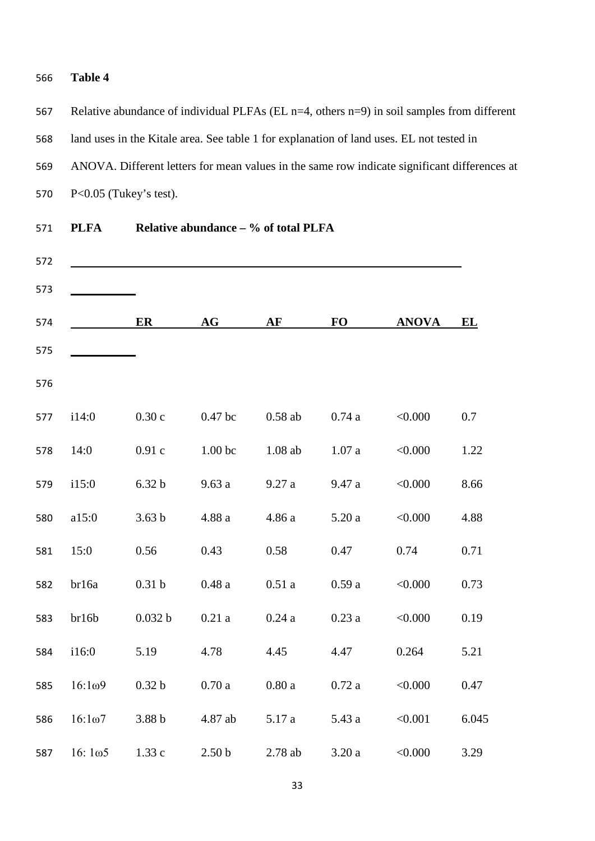### **Table 4**

 Relative abundance of individual PLFAs (EL n=4, others n=9) in soil samples from different land uses in the Kitale area. See table 1 for explanation of land uses. EL not tested in ANOVA. Different letters for mean values in the same row indicate significant differences at P<0.05 (Tukey's test).

|                    | ER                | AG                 | AF        | <b>FO</b> | <b>ANOVA</b> | EL    |
|--------------------|-------------------|--------------------|-----------|-----------|--------------|-------|
|                    |                   |                    |           |           |              |       |
| i14:0              | 0.30c             | 0.47 bc            | $0.58$ ab | $0.74\ a$ | < 0.000      | 0.7   |
| 14:0               | 0.91c             | 1.00 <sub>bc</sub> | $1.08$ ab | 1.07a     | < 0.000      | 1.22  |
| i15:0              | 6.32 <sub>b</sub> | 9.63 a             | 9.27a     | 9.47 a    | < 0.000      | 8.66  |
| a15:0              | 3.63 <sub>b</sub> | $4.88\ a$          | 4.86 a    | 5.20a     | < 0.000      | 4.88  |
| 15:0               | 0.56              | 0.43               | 0.58      | 0.47      | 0.74         | 0.71  |
| br16a              | 0.31 <sub>b</sub> | 0.48a              | 0.51a     | 0.59a     | < 0.000      | 0.73  |
| br16b              | 0.032 b           | 0.21a              | 0.24a     | 0.23a     | < 0.000      | 0.19  |
| i16:0              | 5.19              | 4.78               | 4.45      | 4.47      | 0.264        | 5.21  |
| $16:1\omega9$      | 0.32 <sub>b</sub> | 0.70a              | 0.80a     | 0.72a     | < 0.000      | 0.47  |
| $16:1\omega$ 7     | 3.88 <sub>b</sub> | 4.87 ab            | 5.17 a    | 5.43 a    | < 0.001      | 6.045 |
| 16:1 <sub>05</sub> | 1.33 c            | 2.50 <sub>b</sub>  | 2.78 ab   | 3.20a     | < 0.000      | 3.29  |

**PLFA Relative abundance – % of total PLFA**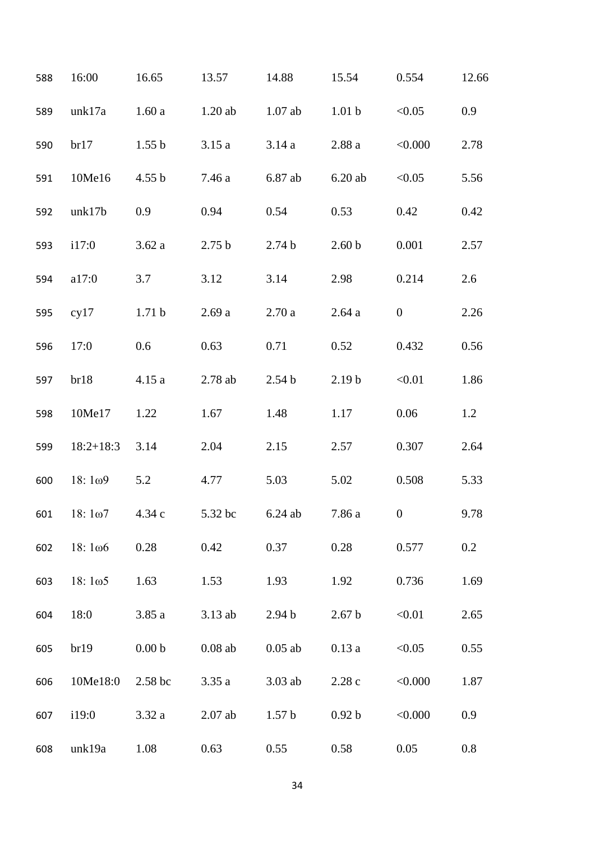| 588 | 16:00          | 16.65             | 13.57             | 14.88             | 15.54             | 0.554            | 12.66   |
|-----|----------------|-------------------|-------------------|-------------------|-------------------|------------------|---------|
| 589 | unk17a         | 1.60a             | $1.20$ ab         | $1.07$ ab         | 1.01 <sub>b</sub> | < 0.05           | 0.9     |
| 590 | br17           | 1.55 <sub>b</sub> | 3.15a             | 3.14a             | 2.88a             | < 0.000          | 2.78    |
| 591 | 10Me16         | 4.55 b            | 7.46 a            | 6.87 ab           | 6.20ab            | < 0.05           | 5.56    |
| 592 | unk17b         | 0.9               | 0.94              | 0.54              | 0.53              | 0.42             | 0.42    |
| 593 | i17:0          | 3.62a             | 2.75 <sub>b</sub> | 2.74 <sub>b</sub> | 2.60 <sub>b</sub> | 0.001            | 2.57    |
| 594 | a17:0          | 3.7               | 3.12              | 3.14              | 2.98              | 0.214            | 2.6     |
| 595 | cy17           | 1.71 <sub>b</sub> | 2.69a             | 2.70a             | 2.64a             | $\boldsymbol{0}$ | 2.26    |
| 596 | 17:0           | 0.6               | 0.63              | 0.71              | 0.52              | 0.432            | 0.56    |
| 597 | br18           | 4.15a             | 2.78 ab           | 2.54 <sub>b</sub> | 2.19 <sub>b</sub> | < 0.01           | 1.86    |
| 598 | 10Me17         | 1.22              | 1.67              | 1.48              | 1.17              | 0.06             | 1.2     |
| 599 | $18:2+18:3$    | 3.14              | 2.04              | 2.15              | 2.57              | 0.307            | 2.64    |
| 600 | 18:109         | 5.2               | 4.77              | 5.03              | 5.02              | 0.508            | 5.33    |
| 601 | $18:1\omega$ 7 | 4.34c             | 5.32 bc           | 6.24 ab           | 7.86 a            | $\mathbf{0}$     | 9.78    |
| 602 | $18:1\omega 6$ | 0.28              | 0.42              | 0.37              | 0.28              | 0.577            | 0.2     |
| 603 | 18:105         | 1.63              | 1.53              | 1.93              | 1.92              | 0.736            | 1.69    |
| 604 | 18:0           | 3.85a             | 3.13 ab           | 2.94 <sub>b</sub> | 2.67 <sub>b</sub> | < 0.01           | 2.65    |
| 605 | br19           | 0.00 <sub>b</sub> | $0.08$ ab         | $0.05$ ab         | 0.13a             | < 0.05           | 0.55    |
| 606 | 10Me18:0       | 2.58 bc           | 3.35a             | $3.03$ ab         | 2.28c             | < 0.000          | 1.87    |
| 607 | i19:0          | 3.32a             | $2.07$ ab         | 1.57 <sub>b</sub> | 0.92 <sub>b</sub> | < 0.000          | 0.9     |
| 608 | unk19a         | 1.08              | 0.63              | 0.55              | 0.58              | 0.05             | $0.8\,$ |